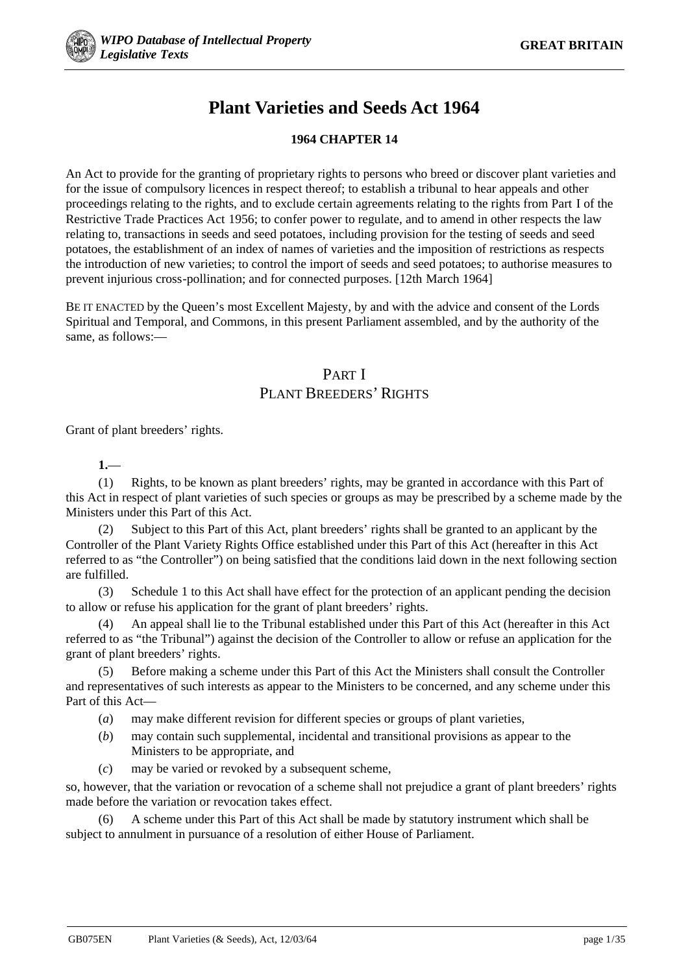# **Plant Varieties and Seeds Act 1964**

#### **1964 CHAPTER 14**

An Act to provide for the granting of proprietary rights to persons who breed or discover plant varieties and for the issue of compulsory licences in respect thereof; to establish a tribunal to hear appeals and other proceedings relating to the rights, and to exclude certain agreements relating to the rights from Part I of the Restrictive Trade Practices Act 1956; to confer power to regulate, and to amend in other respects the law relating to, transactions in seeds and seed potatoes, including provision for the testing of seeds and seed potatoes, the establishment of an index of names of varieties and the imposition of restrictions as respects the introduction of new varieties; to control the import of seeds and seed potatoes; to authorise measures to prevent injurious cross-pollination; and for connected purposes. [12th March 1964]

BE IT ENACTED by the Queen's most Excellent Majesty, by and with the advice and consent of the Lords Spiritual and Temporal, and Commons, in this present Parliament assembled, and by the authority of the same, as follows:—

### PART I PLANT BREEDERS' RIGHTS

Grant of plant breeders' rights.

**1.**—

(1) Rights, to be known as plant breeders' rights, may be granted in accordance with this Part of this Act in respect of plant varieties of such species or groups as may be prescribed by a scheme made by the Ministers under this Part of this Act.

(2) Subject to this Part of this Act, plant breeders' rights shall be granted to an applicant by the Controller of the Plant Variety Rights Office established under this Part of this Act (hereafter in this Act referred to as "the Controller") on being satisfied that the conditions laid down in the next following section are fulfilled.

(3) Schedule 1 to this Act shall have effect for the protection of an applicant pending the decision to allow or refuse his application for the grant of plant breeders' rights.

(4) An appeal shall lie to the Tribunal established under this Part of this Act (hereafter in this Act referred to as "the Tribunal") against the decision of the Controller to allow or refuse an application for the grant of plant breeders' rights.

(5) Before making a scheme under this Part of this Act the Ministers shall consult the Controller and representatives of such interests as appear to the Ministers to be concerned, and any scheme under this Part of this Act—

- (*a*) may make different revision for different species or groups of plant varieties,
- (*b*) may contain such supplemental, incidental and transitional provisions as appear to the Ministers to be appropriate, and
- (*c*) may be varied or revoked by a subsequent scheme,

so, however, that the variation or revocation of a scheme shall not prejudice a grant of plant breeders' rights made before the variation or revocation takes effect.

(6) A scheme under this Part of this Act shall be made by statutory instrument which shall be subject to annulment in pursuance of a resolution of either House of Parliament.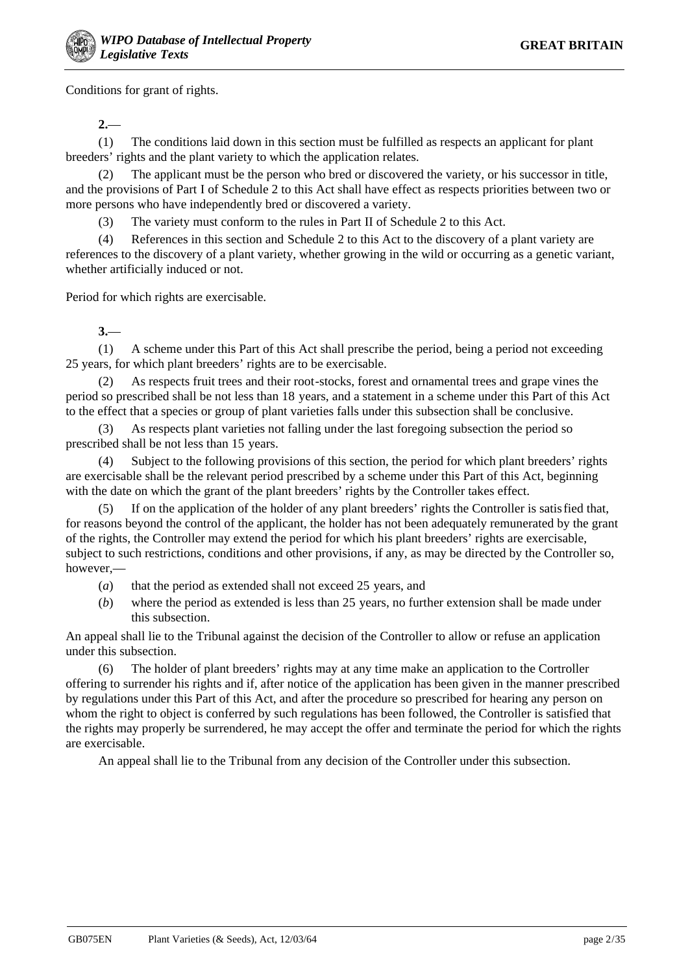Conditions for grant of rights.

**2.**—

(1) The conditions laid down in this section must be fulfilled as respects an applicant for plant breeders' rights and the plant variety to which the application relates.

The applicant must be the person who bred or discovered the variety, or his successor in title, and the provisions of Part I of Schedule 2 to this Act shall have effect as respects priorities between two or more persons who have independently bred or discovered a variety.

(3) The variety must conform to the rules in Part II of Schedule 2 to this Act.

(4) References in this section and Schedule 2 to this Act to the discovery of a plant variety are references to the discovery of a plant variety, whether growing in the wild or occurring as a genetic variant, whether artificially induced or not.

Period for which rights are exercisable.

**3.**—

(1) A scheme under this Part of this Act shall prescribe the period, being a period not exceeding 25 years, for which plant breeders' rights are to be exercisable.

As respects fruit trees and their root-stocks, forest and ornamental trees and grape vines the period so prescribed shall be not less than 18 years, and a statement in a scheme under this Part of this Act to the effect that a species or group of plant varieties falls under this subsection shall be conclusive.

(3) As respects plant varieties not falling under the last foregoing subsection the period so prescribed shall be not less than 15 years.

(4) Subject to the following provisions of this section, the period for which plant breeders' rights are exercisable shall be the relevant period prescribed by a scheme under this Part of this Act, beginning with the date on which the grant of the plant breeders' rights by the Controller takes effect.

(5) If on the application of the holder of any plant breeders' rights the Controller is satisfied that, for reasons beyond the control of the applicant, the holder has not been adequately remunerated by the grant of the rights, the Controller may extend the period for which his plant breeders' rights are exercisable, subject to such restrictions, conditions and other provisions, if any, as may be directed by the Controller so, however,—

- (*a*) that the period as extended shall not exceed 25 years, and
- (*b*) where the period as extended is less than 25 years, no further extension shall be made under this subsection.

An appeal shall lie to the Tribunal against the decision of the Controller to allow or refuse an application under this subsection.

(6) The holder of plant breeders' rights may at any time make an application to the Cortroller offering to surrender his rights and if, after notice of the application has been given in the manner prescribed by regulations under this Part of this Act, and after the procedure so prescribed for hearing any person on whom the right to object is conferred by such regulations has been followed, the Controller is satisfied that the rights may properly be surrendered, he may accept the offer and terminate the period for which the rights are exercisable.

An appeal shall lie to the Tribunal from any decision of the Controller under this subsection.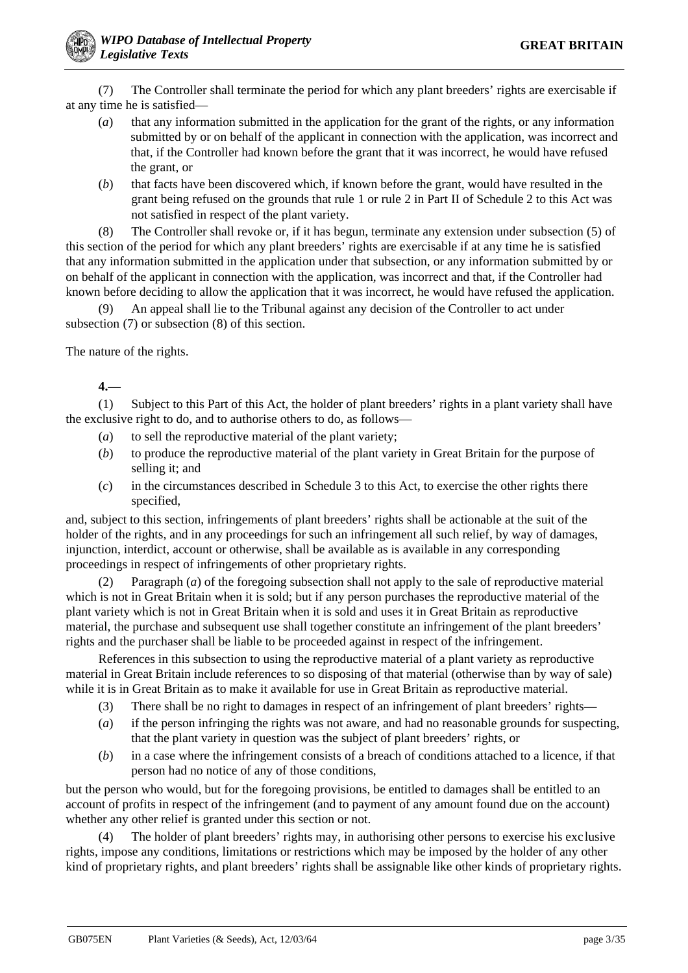(7) The Controller shall terminate the period for which any plant breeders' rights are exercisable if at any time he is satisfied—

- (*a*) that any information submitted in the application for the grant of the rights, or any information submitted by or on behalf of the applicant in connection with the application, was incorrect and that, if the Controller had known before the grant that it was incorrect, he would have refused the grant, or
- (*b*) that facts have been discovered which, if known before the grant, would have resulted in the grant being refused on the grounds that rule 1 or rule 2 in Part II of Schedule 2 to this Act was not satisfied in respect of the plant variety.

(8) The Controller shall revoke or, if it has begun, terminate any extension under subsection (5) of this section of the period for which any plant breeders' rights are exercisable if at any time he is satisfied that any information submitted in the application under that subsection, or any information submitted by or on behalf of the applicant in connection with the application, was incorrect and that, if the Controller had known before deciding to allow the application that it was incorrect, he would have refused the application.

(9) An appeal shall lie to the Tribunal against any decision of the Controller to act under subsection (7) or subsection (8) of this section.

The nature of the rights.

**4.**—

(1) Subject to this Part of this Act, the holder of plant breeders' rights in a plant variety shall have the exclusive right to do, and to authorise others to do, as follows—

- (*a*) to sell the reproductive material of the plant variety;
- (*b*) to produce the reproductive material of the plant variety in Great Britain for the purpose of selling it; and
- (*c*) in the circumstances described in Schedule 3 to this Act, to exercise the other rights there specified,

and, subject to this section, infringements of plant breeders' rights shall be actionable at the suit of the holder of the rights, and in any proceedings for such an infringement all such relief, by way of damages, injunction, interdict, account or otherwise, shall be available as is available in any corresponding proceedings in respect of infringements of other proprietary rights.

(2) Paragraph (*a*) of the foregoing subsection shall not apply to the sale of reproductive material which is not in Great Britain when it is sold; but if any person purchases the reproductive material of the plant variety which is not in Great Britain when it is sold and uses it in Great Britain as reproductive material, the purchase and subsequent use shall together constitute an infringement of the plant breeders' rights and the purchaser shall be liable to be proceeded against in respect of the infringement.

References in this subsection to using the reproductive material of a plant variety as reproductive material in Great Britain include references to so disposing of that material (otherwise than by way of sale) while it is in Great Britain as to make it available for use in Great Britain as reproductive material.

- (3) There shall be no right to damages in respect of an infringement of plant breeders' rights—
- (*a*) if the person infringing the rights was not aware, and had no reasonable grounds for suspecting, that the plant variety in question was the subject of plant breeders' rights, or
- (*b*) in a case where the infringement consists of a breach of conditions attached to a licence, if that person had no notice of any of those conditions,

but the person who would, but for the foregoing provisions, be entitled to damages shall be entitled to an account of profits in respect of the infringement (and to payment of any amount found due on the account) whether any other relief is granted under this section or not.

(4) The holder of plant breeders' rights may, in authorising other persons to exercise his exclusive rights, impose any conditions, limitations or restrictions which may be imposed by the holder of any other kind of proprietary rights, and plant breeders' rights shall be assignable like other kinds of proprietary rights.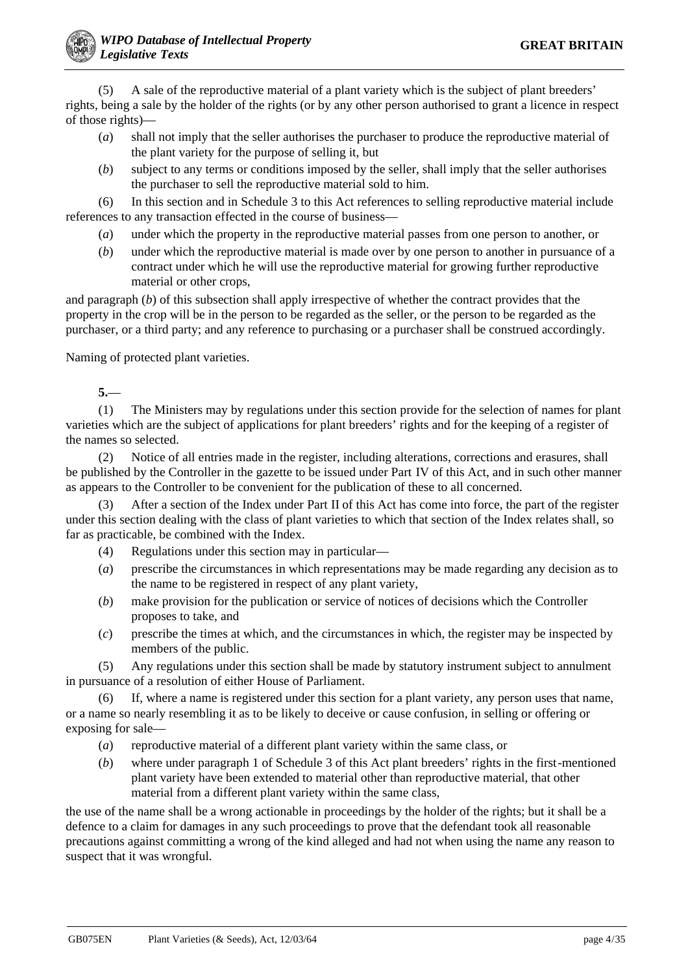(5) A sale of the reproductive material of a plant variety which is the subject of plant breeders' rights, being a sale by the holder of the rights (or by any other person authorised to grant a licence in respect of those rights)—

- (*a*) shall not imply that the seller authorises the purchaser to produce the reproductive material of the plant variety for the purpose of selling it, but
- (*b*) subject to any terms or conditions imposed by the seller, shall imply that the seller authorises the purchaser to sell the reproductive material sold to him.

(6) In this section and in Schedule 3 to this Act references to selling reproductive material include references to any transaction effected in the course of business—

- (*a*) under which the property in the reproductive material passes from one person to another, or
- (*b*) under which the reproductive material is made over by one person to another in pursuance of a contract under which he will use the reproductive material for growing further reproductive material or other crops,

and paragraph (*b*) of this subsection shall apply irrespective of whether the contract provides that the property in the crop will be in the person to be regarded as the seller, or the person to be regarded as the purchaser, or a third party; and any reference to purchasing or a purchaser shall be construed accordingly.

Naming of protected plant varieties.

**5.**—

(1) The Ministers may by regulations under this section provide for the selection of names for plant varieties which are the subject of applications for plant breeders' rights and for the keeping of a register of the names so selected.

(2) Notice of all entries made in the register, including alterations, corrections and erasures, shall be published by the Controller in the gazette to be issued under Part IV of this Act, and in such other manner as appears to the Controller to be convenient for the publication of these to all concerned.

(3) After a section of the Index under Part II of this Act has come into force, the part of the register under this section dealing with the class of plant varieties to which that section of the Index relates shall, so far as practicable, be combined with the Index.

- (4) Regulations under this section may in particular—
- (*a*) prescribe the circumstances in which representations may be made regarding any decision as to the name to be registered in respect of any plant variety,
- (*b*) make provision for the publication or service of notices of decisions which the Controller proposes to take, and
- (*c*) prescribe the times at which, and the circumstances in which, the register may be inspected by members of the public.

(5) Any regulations under this section shall be made by statutory instrument subject to annulment in pursuance of a resolution of either House of Parliament.

(6) If, where a name is registered under this section for a plant variety, any person uses that name, or a name so nearly resembling it as to be likely to deceive or cause confusion, in selling or offering or exposing for sale—

- (*a*) reproductive material of a different plant variety within the same class, or
- (*b*) where under paragraph 1 of Schedule 3 of this Act plant breeders' rights in the first-mentioned plant variety have been extended to material other than reproductive material, that other material from a different plant variety within the same class,

the use of the name shall be a wrong actionable in proceedings by the holder of the rights; but it shall be a defence to a claim for damages in any such proceedings to prove that the defendant took all reasonable precautions against committing a wrong of the kind alleged and had not when using the name any reason to suspect that it was wrongful.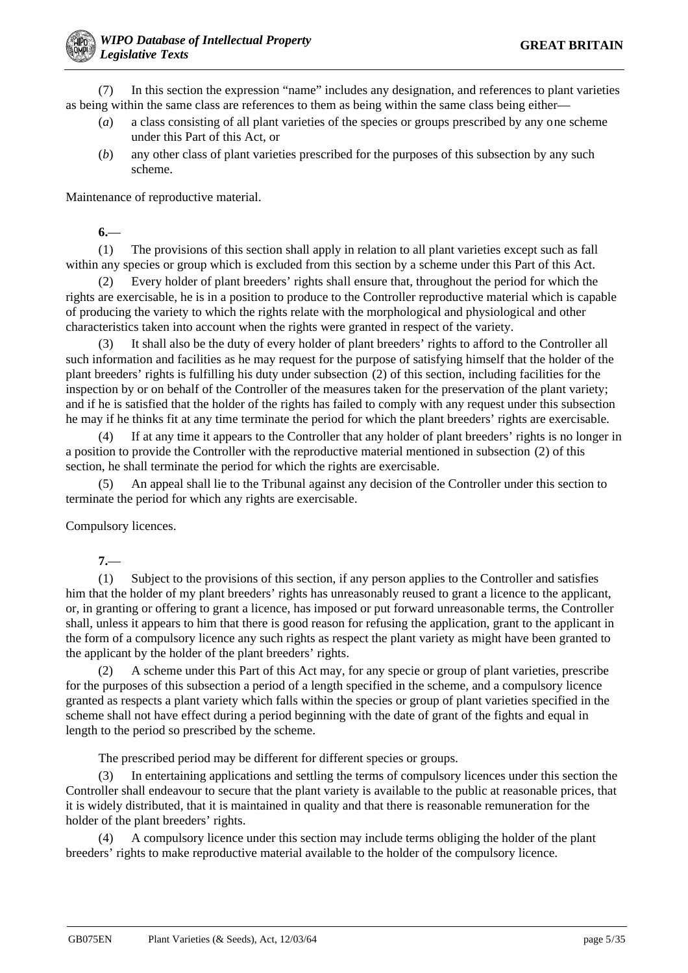(7) In this section the expression "name" includes any designation, and references to plant varieties as being within the same class are references to them as being within the same class being either—

- (*a*) a class consisting of all plant varieties of the species or groups prescribed by any one scheme under this Part of this Act, or
- (*b*) any other class of plant varieties prescribed for the purposes of this subsection by any such scheme.

Maintenance of reproductive material.

**6.**—

(1) The provisions of this section shall apply in relation to all plant varieties except such as fall within any species or group which is excluded from this section by a scheme under this Part of this Act.

Every holder of plant breeders' rights shall ensure that, throughout the period for which the rights are exercisable, he is in a position to produce to the Controller reproductive material which is capable of producing the variety to which the rights relate with the morphological and physiological and other characteristics taken into account when the rights were granted in respect of the variety.

(3) It shall also be the duty of every holder of plant breeders' rights to afford to the Controller all such information and facilities as he may request for the purpose of satisfying himself that the holder of the plant breeders' rights is fulfilling his duty under subsection (2) of this section, including facilities for the inspection by or on behalf of the Controller of the measures taken for the preservation of the plant variety; and if he is satisfied that the holder of the rights has failed to comply with any request under this subsection he may if he thinks fit at any time terminate the period for which the plant breeders' rights are exercisable.

(4) If at any time it appears to the Controller that any holder of plant breeders' rights is no longer in a position to provide the Controller with the reproductive material mentioned in subsection (2) of this section, he shall terminate the period for which the rights are exercisable.

(5) An appeal shall lie to the Tribunal against any decision of the Controller under this section to terminate the period for which any rights are exercisable.

Compulsory licences.

**7.**—

(1) Subject to the provisions of this section, if any person applies to the Controller and satisfies him that the holder of my plant breeders' rights has unreasonably reused to grant a licence to the applicant, or, in granting or offering to grant a licence, has imposed or put forward unreasonable terms, the Controller shall, unless it appears to him that there is good reason for refusing the application, grant to the applicant in the form of a compulsory licence any such rights as respect the plant variety as might have been granted to the applicant by the holder of the plant breeders' rights.

(2) A scheme under this Part of this Act may, for any specie or group of plant varieties, prescribe for the purposes of this subsection a period of a length specified in the scheme, and a compulsory licence granted as respects a plant variety which falls within the species or group of plant varieties specified in the scheme shall not have effect during a period beginning with the date of grant of the fights and equal in length to the period so prescribed by the scheme.

The prescribed period may be different for different species or groups.

(3) In entertaining applications and settling the terms of compulsory licences under this section the Controller shall endeavour to secure that the plant variety is available to the public at reasonable prices, that it is widely distributed, that it is maintained in quality and that there is reasonable remuneration for the holder of the plant breeders' rights.

(4) A compulsory licence under this section may include terms obliging the holder of the plant breeders' rights to make reproductive material available to the holder of the compulsory licence.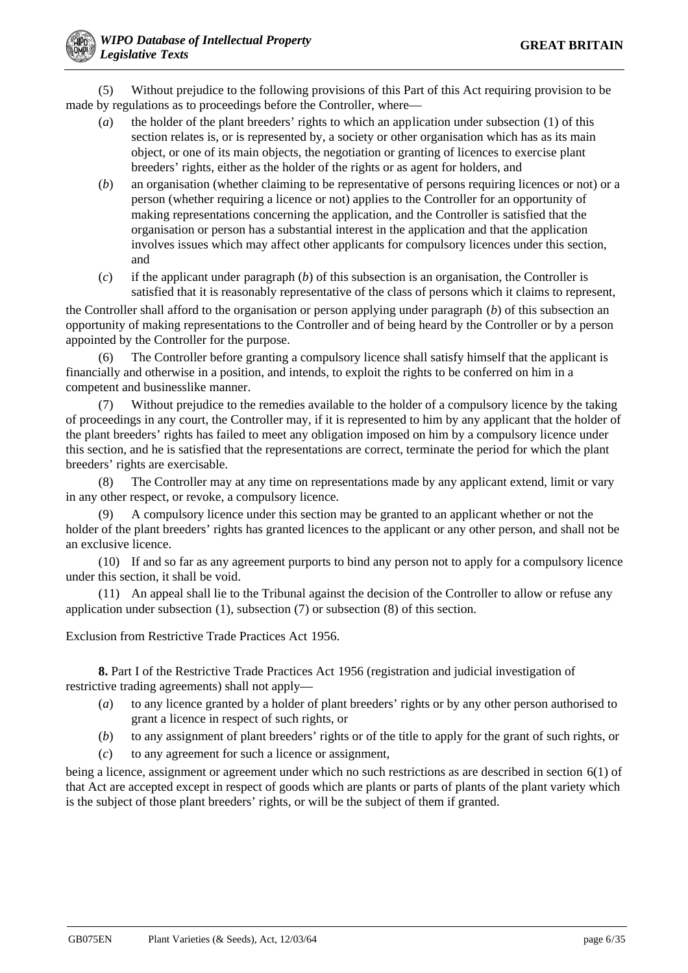(5) Without prejudice to the following provisions of this Part of this Act requiring provision to be made by regulations as to proceedings before the Controller, where—

- (*a*) the holder of the plant breeders' rights to which an application under subsection (1) of this section relates is, or is represented by, a society or other organisation which has as its main object, or one of its main objects, the negotiation or granting of licences to exercise plant breeders' rights, either as the holder of the rights or as agent for holders, and
- (*b*) an organisation (whether claiming to be representative of persons requiring licences or not) or a person (whether requiring a licence or not) applies to the Controller for an opportunity of making representations concerning the application, and the Controller is satisfied that the organisation or person has a substantial interest in the application and that the application involves issues which may affect other applicants for compulsory licences under this section, and
- (*c*) if the applicant under paragraph (*b*) of this subsection is an organisation, the Controller is satisfied that it is reasonably representative of the class of persons which it claims to represent,

the Controller shall afford to the organisation or person applying under paragraph (*b*) of this subsection an opportunity of making representations to the Controller and of being heard by the Controller or by a person appointed by the Controller for the purpose.

The Controller before granting a compulsory licence shall satisfy himself that the applicant is financially and otherwise in a position, and intends, to exploit the rights to be conferred on him in a competent and businesslike manner.

(7) Without prejudice to the remedies available to the holder of a compulsory licence by the taking of proceedings in any court, the Controller may, if it is represented to him by any applicant that the holder of the plant breeders' rights has failed to meet any obligation imposed on him by a compulsory licence under this section, and he is satisfied that the representations are correct, terminate the period for which the plant breeders' rights are exercisable.

(8) The Controller may at any time on representations made by any applicant extend, limit or vary in any other respect, or revoke, a compulsory licence.

(9) A compulsory licence under this section may be granted to an applicant whether or not the holder of the plant breeders' rights has granted licences to the applicant or any other person, and shall not be an exclusive licence.

(10) If and so far as any agreement purports to bind any person not to apply for a compulsory licence under this section, it shall be void.

(11) An appeal shall lie to the Tribunal against the decision of the Controller to allow or refuse any application under subsection  $(1)$ , subsection  $(7)$  or subsection  $(8)$  of this section.

Exclusion from Restrictive Trade Practices Act 1956.

**8.** Part I of the Restrictive Trade Practices Act 1956 (registration and judicial investigation of restrictive trading agreements) shall not apply—

- (*a*) to any licence granted by a holder of plant breeders' rights or by any other person authorised to grant a licence in respect of such rights, or
- (*b*) to any assignment of plant breeders' rights or of the title to apply for the grant of such rights, or
- (*c*) to any agreement for such a licence or assignment,

being a licence, assignment or agreement under which no such restrictions as are described in section 6(1) of that Act are accepted except in respect of goods which are plants or parts of plants of the plant variety which is the subject of those plant breeders' rights, or will be the subject of them if granted.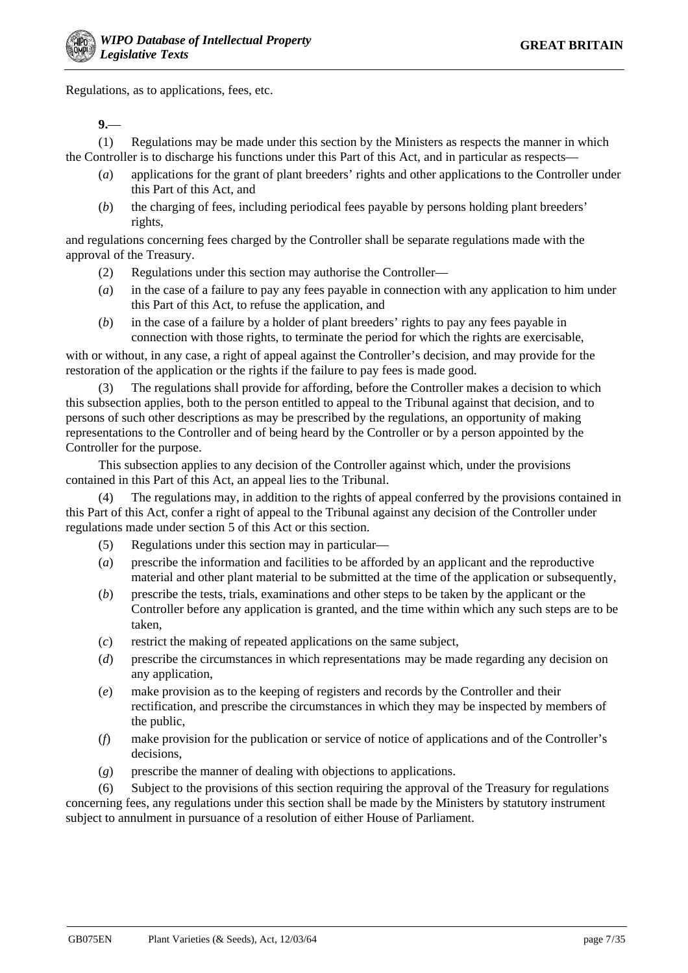Regulations, as to applications, fees, etc.

**9.**—

(1) Regulations may be made under this section by the Ministers as respects the manner in which the Controller is to discharge his functions under this Part of this Act, and in particular as respects—

- (*a*) applications for the grant of plant breeders' rights and other applications to the Controller under this Part of this Act, and
- (*b*) the charging of fees, including periodical fees payable by persons holding plant breeders' rights,

and regulations concerning fees charged by the Controller shall be separate regulations made with the approval of the Treasury.

- (2) Regulations under this section may authorise the Controller—
- (*a*) in the case of a failure to pay any fees payable in connection with any application to him under this Part of this Act, to refuse the application, and
- (*b*) in the case of a failure by a holder of plant breeders' rights to pay any fees payable in connection with those rights, to terminate the period for which the rights are exercisable,

with or without, in any case, a right of appeal against the Controller's decision, and may provide for the restoration of the application or the rights if the failure to pay fees is made good.

(3) The regulations shall provide for affording, before the Controller makes a decision to which this subsection applies, both to the person entitled to appeal to the Tribunal against that decision, and to persons of such other descriptions as may be prescribed by the regulations, an opportunity of making representations to the Controller and of being heard by the Controller or by a person appointed by the Controller for the purpose.

This subsection applies to any decision of the Controller against which, under the provisions contained in this Part of this Act, an appeal lies to the Tribunal.

(4) The regulations may, in addition to the rights of appeal conferred by the provisions contained in this Part of this Act, confer a right of appeal to the Tribunal against any decision of the Controller under regulations made under section 5 of this Act or this section.

- (5) Regulations under this section may in particular—
- (*a*) prescribe the information and facilities to be afforded by an applicant and the reproductive material and other plant material to be submitted at the time of the application or subsequently,
- (*b*) prescribe the tests, trials, examinations and other steps to be taken by the applicant or the Controller before any application is granted, and the time within which any such steps are to be taken,
- (*c*) restrict the making of repeated applications on the same subject,
- (*d*) prescribe the circumstances in which representations may be made regarding any decision on any application,
- (*e*) make provision as to the keeping of registers and records by the Controller and their rectification, and prescribe the circumstances in which they may be inspected by members of the public,
- (*f*) make provision for the publication or service of notice of applications and of the Controller's decisions,
- (*g*) prescribe the manner of dealing with objections to applications.

(6) Subject to the provisions of this section requiring the approval of the Treasury for regulations concerning fees, any regulations under this section shall be made by the Ministers by statutory instrument subject to annulment in pursuance of a resolution of either House of Parliament.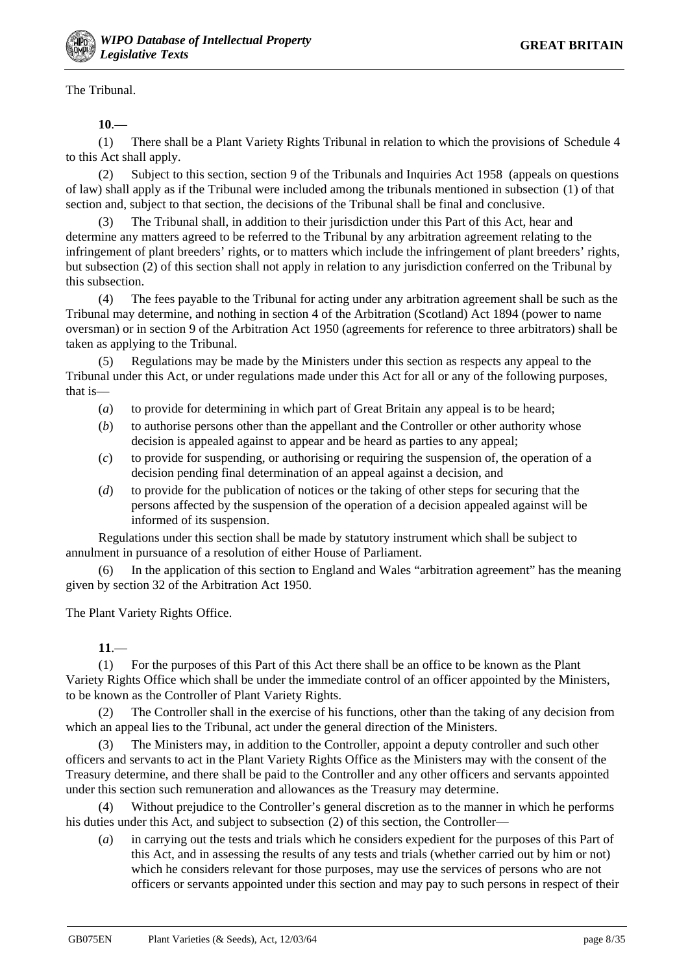

The Tribunal.

#### $10 -$

(1) There shall be a Plant Variety Rights Tribunal in relation to which the provisions of Schedule 4 to this Act shall apply.

(2) Subject to this section, section 9 of the Tribunals and Inquiries Act 1958 (appeals on questions of law) shall apply as if the Tribunal were included among the tribunals mentioned in subsection (1) of that section and, subject to that section, the decisions of the Tribunal shall be final and conclusive.

(3) The Tribunal shall, in addition to their jurisdiction under this Part of this Act, hear and determine any matters agreed to be referred to the Tribunal by any arbitration agreement relating to the infringement of plant breeders' rights, or to matters which include the infringement of plant breeders' rights, but subsection (2) of this section shall not apply in relation to any jurisdiction conferred on the Tribunal by this subsection.

(4) The fees payable to the Tribunal for acting under any arbitration agreement shall be such as the Tribunal may determine, and nothing in section 4 of the Arbitration (Scotland) Act 1894 (power to name oversman) or in section 9 of the Arbitration Act 1950 (agreements for reference to three arbitrators) shall be taken as applying to the Tribunal.

(5) Regulations may be made by the Ministers under this section as respects any appeal to the Tribunal under this Act, or under regulations made under this Act for all or any of the following purposes, that is—

- (*a*) to provide for determining in which part of Great Britain any appeal is to be heard;
- (*b*) to authorise persons other than the appellant and the Controller or other authority whose decision is appealed against to appear and be heard as parties to any appeal;
- (*c*) to provide for suspending, or authorising or requiring the suspension of, the operation of a decision pending final determination of an appeal against a decision, and
- (*d*) to provide for the publication of notices or the taking of other steps for securing that the persons affected by the suspension of the operation of a decision appealed against will be informed of its suspension.

Regulations under this section shall be made by statutory instrument which shall be subject to annulment in pursuance of a resolution of either House of Parliament.

In the application of this section to England and Wales "arbitration agreement" has the meaning given by section 32 of the Arbitration Act 1950.

The Plant Variety Rights Office.

#### **11**.—

(1) For the purposes of this Part of this Act there shall be an office to be known as the Plant Variety Rights Office which shall be under the immediate control of an officer appointed by the Ministers, to be known as the Controller of Plant Variety Rights.

(2) The Controller shall in the exercise of his functions, other than the taking of any decision from which an appeal lies to the Tribunal, act under the general direction of the Ministers.

(3) The Ministers may, in addition to the Controller, appoint a deputy controller and such other officers and servants to act in the Plant Variety Rights Office as the Ministers may with the consent of the Treasury determine, and there shall be paid to the Controller and any other officers and servants appointed under this section such remuneration and allowances as the Treasury may determine.

(4) Without prejudice to the Controller's general discretion as to the manner in which he performs his duties under this Act, and subject to subsection (2) of this section, the Controller—

(*a*) in carrying out the tests and trials which he considers expedient for the purposes of this Part of this Act, and in assessing the results of any tests and trials (whether carried out by him or not) which he considers relevant for those purposes, may use the services of persons who are not officers or servants appointed under this section and may pay to such persons in respect of their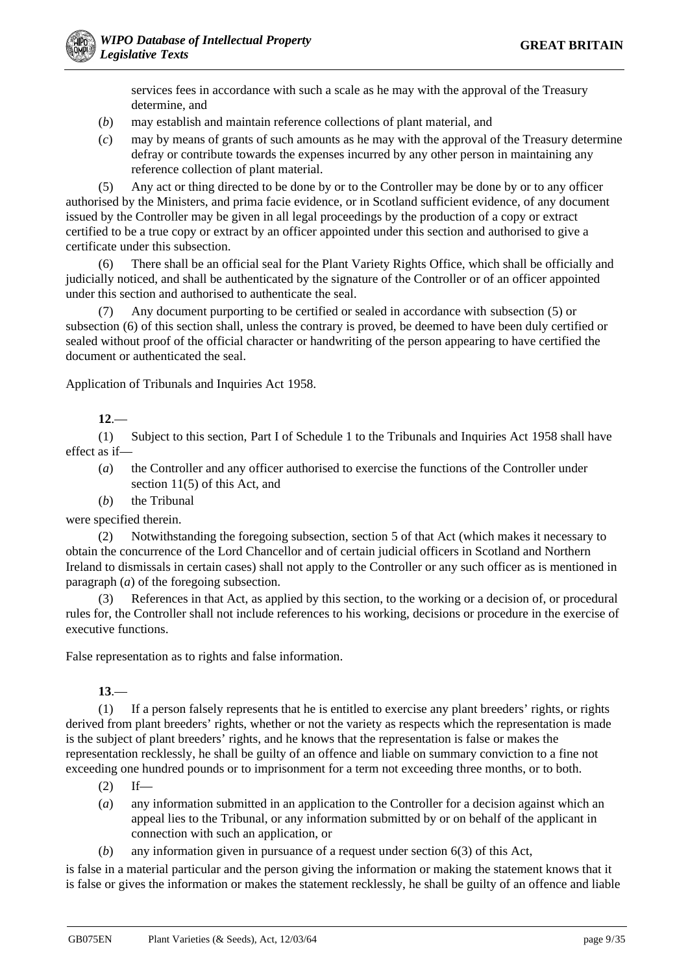services fees in accordance with such a scale as he may with the approval of the Treasury determine, and

- (*b*) may establish and maintain reference collections of plant material, and
- (*c*) may by means of grants of such amounts as he may with the approval of the Treasury determine defray or contribute towards the expenses incurred by any other person in maintaining any reference collection of plant material.

(5) Any act or thing directed to be done by or to the Controller may be done by or to any officer authorised by the Ministers, and prima facie evidence, or in Scotland sufficient evidence, of any document issued by the Controller may be given in all legal proceedings by the production of a copy or extract certified to be a true copy or extract by an officer appointed under this section and authorised to give a certificate under this subsection.

(6) There shall be an official seal for the Plant Variety Rights Office, which shall be officially and judicially noticed, and shall be authenticated by the signature of the Controller or of an officer appointed under this section and authorised to authenticate the seal.

(7) Any document purporting to be certified or sealed in accordance with subsection (5) or subsection (6) of this section shall, unless the contrary is proved, be deemed to have been duly certified or sealed without proof of the official character or handwriting of the person appearing to have certified the document or authenticated the seal.

Application of Tribunals and Inquiries Act 1958.

**12**.—

(1) Subject to this section, Part I of Schedule 1 to the Tribunals and Inquiries Act 1958 shall have effect as if—

- (*a*) the Controller and any officer authorised to exercise the functions of the Controller under section 11(5) of this Act, and
- (*b*) the Tribunal

were specified therein.

(2) Notwithstanding the foregoing subsection, section 5 of that Act (which makes it necessary to obtain the concurrence of the Lord Chancellor and of certain judicial officers in Scotland and Northern Ireland to dismissals in certain cases) shall not apply to the Controller or any such officer as is mentioned in paragraph (*a*) of the foregoing subsection.

(3) References in that Act, as applied by this section, to the working or a decision of, or procedural rules for, the Controller shall not include references to his working, decisions or procedure in the exercise of executive functions.

False representation as to rights and false information.

**13**.—

(1) If a person falsely represents that he is entitled to exercise any plant breeders' rights, or rights derived from plant breeders' rights, whether or not the variety as respects which the representation is made is the subject of plant breeders' rights, and he knows that the representation is false or makes the representation recklessly, he shall be guilty of an offence and liable on summary conviction to a fine not exceeding one hundred pounds or to imprisonment for a term not exceeding three months, or to both.

- $(2)$  If—
- (*a*) any information submitted in an application to the Controller for a decision against which an appeal lies to the Tribunal, or any information submitted by or on behalf of the applicant in connection with such an application, or
- (*b*) any information given in pursuance of a request under section 6(3) of this Act,

is false in a material particular and the person giving the information or making the statement knows that it is false or gives the information or makes the statement recklessly, he shall be guilty of an offence and liable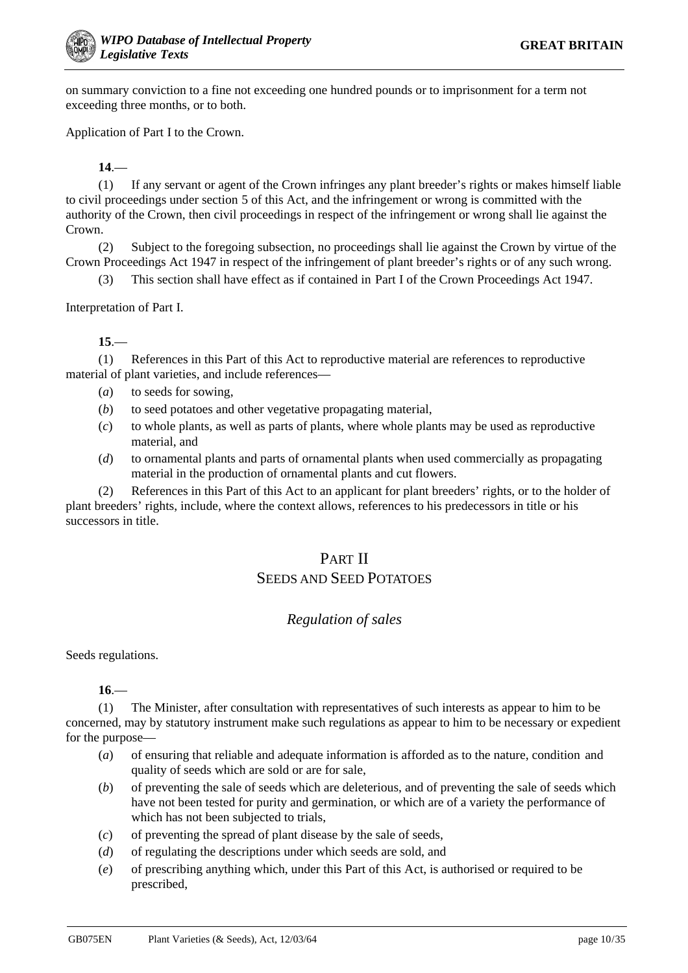on summary conviction to a fine not exceeding one hundred pounds or to imprisonment for a term not exceeding three months, or to both.

Application of Part I to the Crown.

**14**.—

(1) If any servant or agent of the Crown infringes any plant breeder's rights or makes himself liable to civil proceedings under section 5 of this Act, and the infringement or wrong is committed with the authority of the Crown, then civil proceedings in respect of the infringement or wrong shall lie against the Crown.

(2) Subject to the foregoing subsection, no proceedings shall lie against the Crown by virtue of the Crown Proceedings Act 1947 in respect of the infringement of plant breeder's rights or of any such wrong.

(3) This section shall have effect as if contained in Part I of the Crown Proceedings Act 1947.

Interpretation of Part I.

**15**.—

(1) References in this Part of this Act to reproductive material are references to reproductive material of plant varieties, and include references—

- (*a*) to seeds for sowing,
- (*b*) to seed potatoes and other vegetative propagating material,
- (*c*) to whole plants, as well as parts of plants, where whole plants may be used as reproductive material, and
- (*d*) to ornamental plants and parts of ornamental plants when used commercially as propagating material in the production of ornamental plants and cut flowers.

(2) References in this Part of this Act to an applicant for plant breeders' rights, or to the holder of plant breeders' rights, include, where the context allows, references to his predecessors in title or his successors in title.

## PART II

#### SEEDS AND SEED POTATOES

#### *Regulation of sales*

Seeds regulations.

**16**.—

(1) The Minister, after consultation with representatives of such interests as appear to him to be concerned, may by statutory instrument make such regulations as appear to him to be necessary or expedient for the purpose—

- (*a*) of ensuring that reliable and adequate information is afforded as to the nature, condition and quality of seeds which are sold or are for sale,
- (*b*) of preventing the sale of seeds which are deleterious, and of preventing the sale of seeds which have not been tested for purity and germination, or which are of a variety the performance of which has not been subjected to trials,
- (*c*) of preventing the spread of plant disease by the sale of seeds,
- (*d*) of regulating the descriptions under which seeds are sold, and
- (*e*) of prescribing anything which, under this Part of this Act, is authorised or required to be prescribed,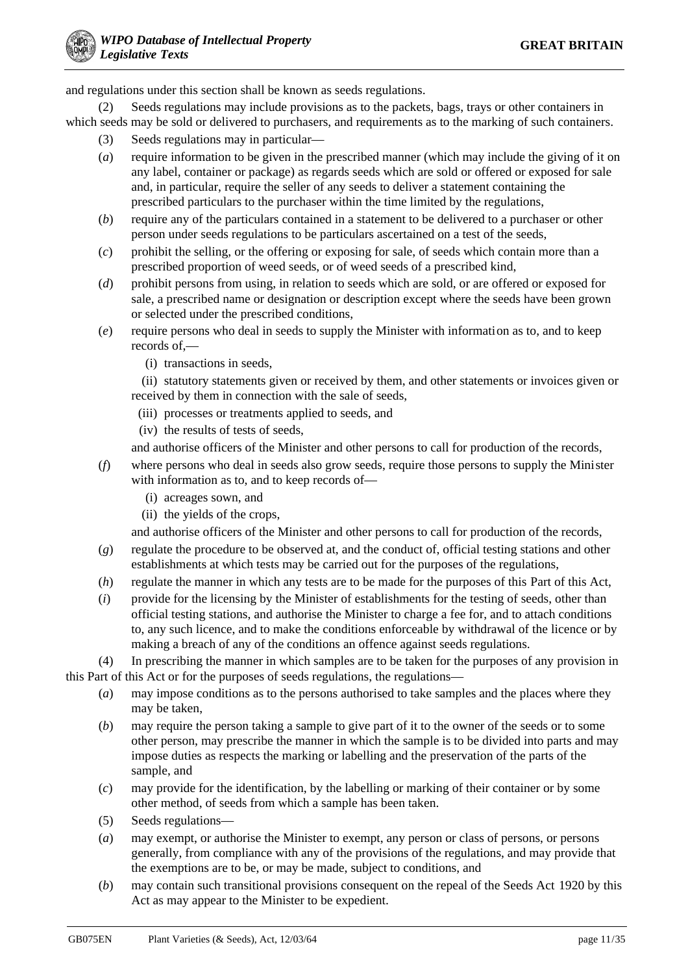and regulations under this section shall be known as seeds regulations.

(2) Seeds regulations may include provisions as to the packets, bags, trays or other containers in which seeds may be sold or delivered to purchasers, and requirements as to the marking of such containers.

- (3) Seeds regulations may in particular—
- (*a*) require information to be given in the prescribed manner (which may include the giving of it on any label, container or package) as regards seeds which are sold or offered or exposed for sale and, in particular, require the seller of any seeds to deliver a statement containing the prescribed particulars to the purchaser within the time limited by the regulations,
- (*b*) require any of the particulars contained in a statement to be delivered to a purchaser or other person under seeds regulations to be particulars ascertained on a test of the seeds,
- (*c*) prohibit the selling, or the offering or exposing for sale, of seeds which contain more than a prescribed proportion of weed seeds, or of weed seeds of a prescribed kind,
- (*d*) prohibit persons from using, in relation to seeds which are sold, or are offered or exposed for sale, a prescribed name or designation or description except where the seeds have been grown or selected under the prescribed conditions,
- (*e*) require persons who deal in seeds to supply the Minister with information as to, and to keep records of,—
	- (i) transactions in seeds,

(ii) statutory statements given or received by them, and other statements or invoices given or received by them in connection with the sale of seeds,

- (iii) processes or treatments applied to seeds, and
- (iv) the results of tests of seeds,

and authorise officers of the Minister and other persons to call for production of the records,

- (*f*) where persons who deal in seeds also grow seeds, require those persons to supply the Minister with information as to, and to keep records of—
	- (i) acreages sown, and
	- (ii) the yields of the crops,

and authorise officers of the Minister and other persons to call for production of the records,

- (*g*) regulate the procedure to be observed at, and the conduct of, official testing stations and other establishments at which tests may be carried out for the purposes of the regulations,
- (*h*) regulate the manner in which any tests are to be made for the purposes of this Part of this Act,
- (*i*) provide for the licensing by the Minister of establishments for the testing of seeds, other than official testing stations, and authorise the Minister to charge a fee for, and to attach conditions to, any such licence, and to make the conditions enforceable by withdrawal of the licence or by making a breach of any of the conditions an offence against seeds regulations.

(4) In prescribing the manner in which samples are to be taken for the purposes of any provision in this Part of this Act or for the purposes of seeds regulations, the regulations—

- (*a*) may impose conditions as to the persons authorised to take samples and the places where they may be taken,
- (*b*) may require the person taking a sample to give part of it to the owner of the seeds or to some other person, may prescribe the manner in which the sample is to be divided into parts and may impose duties as respects the marking or labelling and the preservation of the parts of the sample, and
- (*c*) may provide for the identification, by the labelling or marking of their container or by some other method, of seeds from which a sample has been taken.
- (5) Seeds regulations—
- (*a*) may exempt, or authorise the Minister to exempt, any person or class of persons, or persons generally, from compliance with any of the provisions of the regulations, and may provide that the exemptions are to be, or may be made, subject to conditions, and
- (*b*) may contain such transitional provisions consequent on the repeal of the Seeds Act 1920 by this Act as may appear to the Minister to be expedient.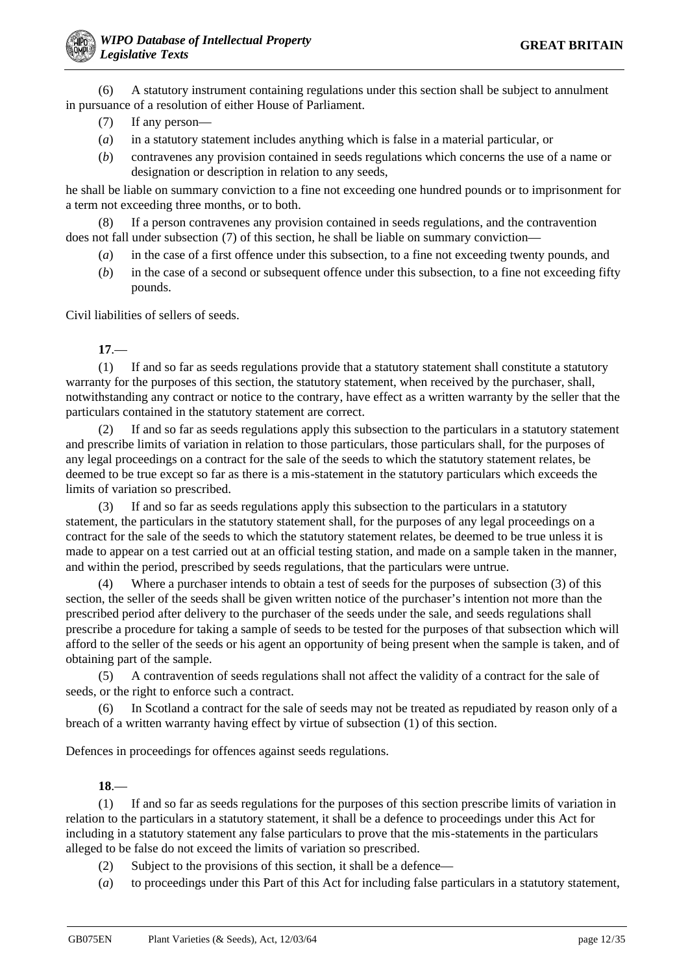(6) A statutory instrument containing regulations under this section shall be subject to annulment in pursuance of a resolution of either House of Parliament.

- (7) If any person—
- (*a*) in a statutory statement includes anything which is false in a material particular, or
- (*b*) contravenes any provision contained in seeds regulations which concerns the use of a name or designation or description in relation to any seeds,

he shall be liable on summary conviction to a fine not exceeding one hundred pounds or to imprisonment for a term not exceeding three months, or to both.

(8) If a person contravenes any provision contained in seeds regulations, and the contravention does not fall under subsection (7) of this section, he shall be liable on summary conviction—

- (*a*) in the case of a first offence under this subsection, to a fine not exceeding twenty pounds, and
- (*b*) in the case of a second or subsequent offence under this subsection, to a fine not exceeding fifty pounds.

Civil liabilities of sellers of seeds.

**17**.—

(1) If and so far as seeds regulations provide that a statutory statement shall constitute a statutory warranty for the purposes of this section, the statutory statement, when received by the purchaser, shall, notwithstanding any contract or notice to the contrary, have effect as a written warranty by the seller that the particulars contained in the statutory statement are correct.

(2) If and so far as seeds regulations apply this subsection to the particulars in a statutory statement and prescribe limits of variation in relation to those particulars, those particulars shall, for the purposes of any legal proceedings on a contract for the sale of the seeds to which the statutory statement relates, be deemed to be true except so far as there is a mis-statement in the statutory particulars which exceeds the limits of variation so prescribed.

(3) If and so far as seeds regulations apply this subsection to the particulars in a statutory statement, the particulars in the statutory statement shall, for the purposes of any legal proceedings on a contract for the sale of the seeds to which the statutory statement relates, be deemed to be true unless it is made to appear on a test carried out at an official testing station, and made on a sample taken in the manner, and within the period, prescribed by seeds regulations, that the particulars were untrue.

(4) Where a purchaser intends to obtain a test of seeds for the purposes of subsection (3) of this section, the seller of the seeds shall be given written notice of the purchaser's intention not more than the prescribed period after delivery to the purchaser of the seeds under the sale, and seeds regulations shall prescribe a procedure for taking a sample of seeds to be tested for the purposes of that subsection which will afford to the seller of the seeds or his agent an opportunity of being present when the sample is taken, and of obtaining part of the sample.

(5) A contravention of seeds regulations shall not affect the validity of a contract for the sale of seeds, or the right to enforce such a contract.

(6) In Scotland a contract for the sale of seeds may not be treated as repudiated by reason only of a breach of a written warranty having effect by virtue of subsection (1) of this section.

Defences in proceedings for offences against seeds regulations.

#### **18**.—

(1) If and so far as seeds regulations for the purposes of this section prescribe limits of variation in relation to the particulars in a statutory statement, it shall be a defence to proceedings under this Act for including in a statutory statement any false particulars to prove that the mis-statements in the particulars alleged to be false do not exceed the limits of variation so prescribed.

- (2) Subject to the provisions of this section, it shall be a defence—
- (*a*) to proceedings under this Part of this Act for including false particulars in a statutory statement,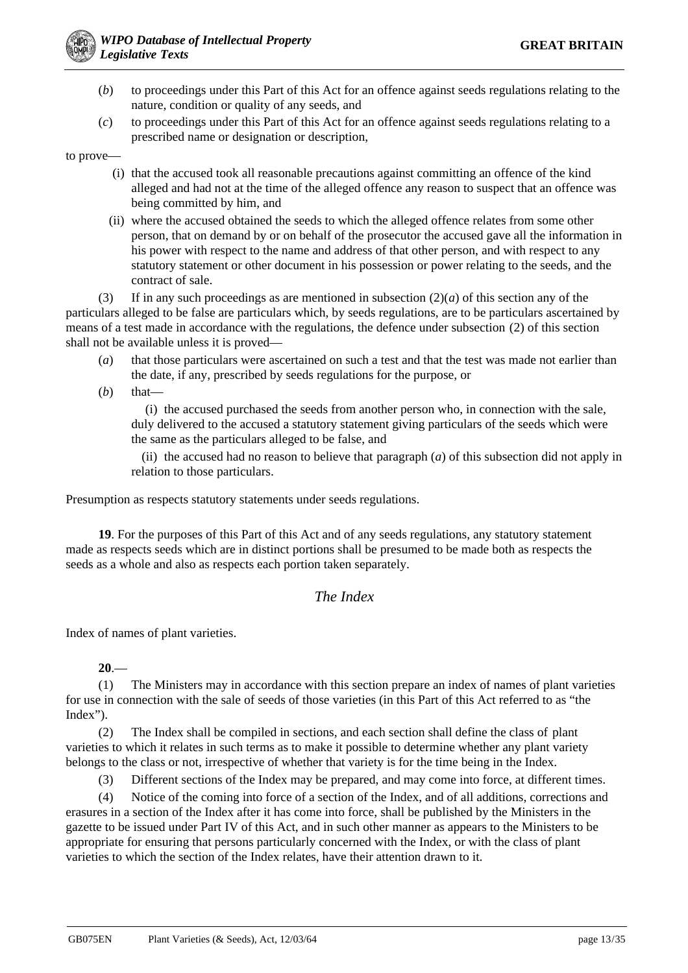- (*b*) to proceedings under this Part of this Act for an offence against seeds regulations relating to the nature, condition or quality of any seeds, and
- (*c*) to proceedings under this Part of this Act for an offence against seeds regulations relating to a prescribed name or designation or description,

to prove—

- (i) that the accused took all reasonable precautions against committing an offence of the kind alleged and had not at the time of the alleged offence any reason to suspect that an offence was being committed by him, and
- (ii) where the accused obtained the seeds to which the alleged offence relates from some other person, that on demand by or on behalf of the prosecutor the accused gave all the information in his power with respect to the name and address of that other person, and with respect to any statutory statement or other document in his possession or power relating to the seeds, and the contract of sale.

(3) If in any such proceedings as are mentioned in subsection  $(2)(a)$  of this section any of the particulars alleged to be false are particulars which, by seeds regulations, are to be particulars ascertained by means of a test made in accordance with the regulations, the defence under subsection (2) of this section shall not be available unless it is proved—

- (*a*) that those particulars were ascertained on such a test and that the test was made not earlier than the date, if any, prescribed by seeds regulations for the purpose, or
- $(b)$  that—

(i) the accused purchased the seeds from another person who, in connection with the sale, duly delivered to the accused a statutory statement giving particulars of the seeds which were the same as the particulars alleged to be false, and

(ii) the accused had no reason to believe that paragraph (*a*) of this subsection did not apply in relation to those particulars.

Presumption as respects statutory statements under seeds regulations.

**19**. For the purposes of this Part of this Act and of any seeds regulations, any statutory statement made as respects seeds which are in distinct portions shall be presumed to be made both as respects the seeds as a whole and also as respects each portion taken separately.

#### *The Index*

Index of names of plant varieties.

**20**.—

(1) The Ministers may in accordance with this section prepare an index of names of plant varieties for use in connection with the sale of seeds of those varieties (in this Part of this Act referred to as "the Index").

(2) The Index shall be compiled in sections, and each section shall define the class of plant varieties to which it relates in such terms as to make it possible to determine whether any plant variety belongs to the class or not, irrespective of whether that variety is for the time being in the Index.

(3) Different sections of the Index may be prepared, and may come into force, at different times.

(4) Notice of the coming into force of a section of the Index, and of all additions, corrections and erasures in a section of the Index after it has come into force, shall be published by the Ministers in the gazette to be issued under Part IV of this Act, and in such other manner as appears to the Ministers to be appropriate for ensuring that persons particularly concerned with the Index, or with the class of plant varieties to which the section of the Index relates, have their attention drawn to it.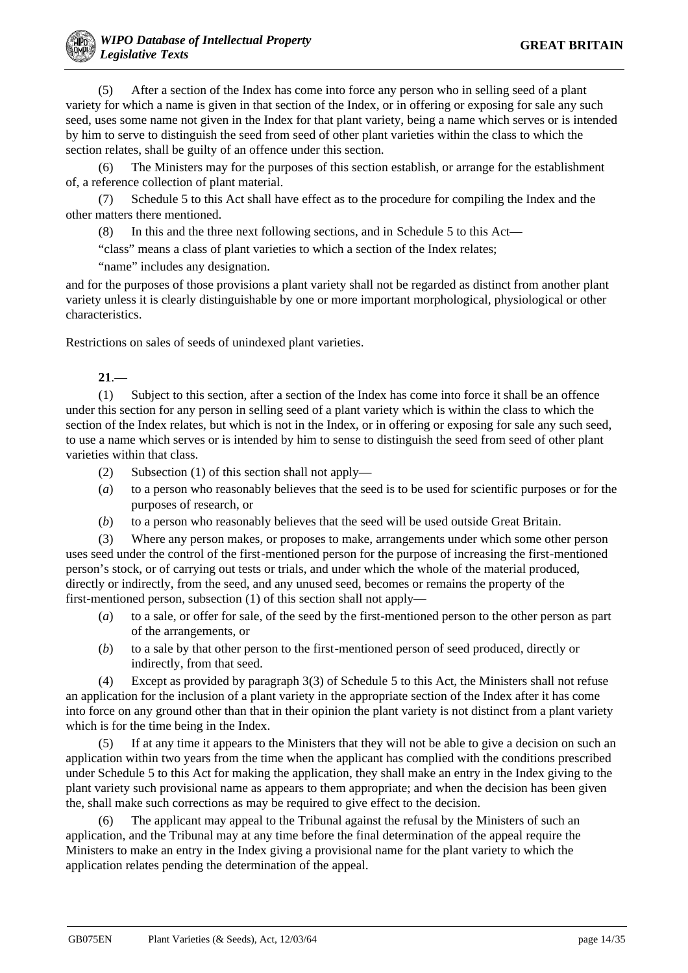(5) After a section of the Index has come into force any person who in selling seed of a plant variety for which a name is given in that section of the Index, or in offering or exposing for sale any such seed, uses some name not given in the Index for that plant variety, being a name which serves or is intended by him to serve to distinguish the seed from seed of other plant varieties within the class to which the section relates, shall be guilty of an offence under this section.

(6) The Ministers may for the purposes of this section establish, or arrange for the establishment of, a reference collection of plant material.

(7) Schedule 5 to this Act shall have effect as to the procedure for compiling the Index and the other matters there mentioned.

(8) In this and the three next following sections, and in Schedule 5 to this Act—

"class" means a class of plant varieties to which a section of the Index relates;

"name" includes any designation.

and for the purposes of those provisions a plant variety shall not be regarded as distinct from another plant variety unless it is clearly distinguishable by one or more important morphological, physiological or other characteristics.

Restrictions on sales of seeds of unindexed plant varieties.

#### **21**.—

(1) Subject to this section, after a section of the Index has come into force it shall be an offence under this section for any person in selling seed of a plant variety which is within the class to which the section of the Index relates, but which is not in the Index, or in offering or exposing for sale any such seed, to use a name which serves or is intended by him to sense to distinguish the seed from seed of other plant varieties within that class.

(2) Subsection (1) of this section shall not apply—

- (*a*) to a person who reasonably believes that the seed is to be used for scientific purposes or for the purposes of research, or
- (*b*) to a person who reasonably believes that the seed will be used outside Great Britain.

(3) Where any person makes, or proposes to make, arrangements under which some other person uses seed under the control of the first-mentioned person for the purpose of increasing the first-mentioned person's stock, or of carrying out tests or trials, and under which the whole of the material produced, directly or indirectly, from the seed, and any unused seed, becomes or remains the property of the first-mentioned person, subsection (1) of this section shall not apply—

- (*a*) to a sale, or offer for sale, of the seed by the first-mentioned person to the other person as part of the arrangements, or
- (*b*) to a sale by that other person to the first-mentioned person of seed produced, directly or indirectly, from that seed.

(4) Except as provided by paragraph 3(3) of Schedule 5 to this Act, the Ministers shall not refuse an application for the inclusion of a plant variety in the appropriate section of the Index after it has come into force on any ground other than that in their opinion the plant variety is not distinct from a plant variety which is for the time being in the Index.

(5) If at any time it appears to the Ministers that they will not be able to give a decision on such an application within two years from the time when the applicant has complied with the conditions prescribed under Schedule 5 to this Act for making the application, they shall make an entry in the Index giving to the plant variety such provisional name as appears to them appropriate; and when the decision has been given the, shall make such corrections as may be required to give effect to the decision.

The applicant may appeal to the Tribunal against the refusal by the Ministers of such an application, and the Tribunal may at any time before the final determination of the appeal require the Ministers to make an entry in the Index giving a provisional name for the plant variety to which the application relates pending the determination of the appeal.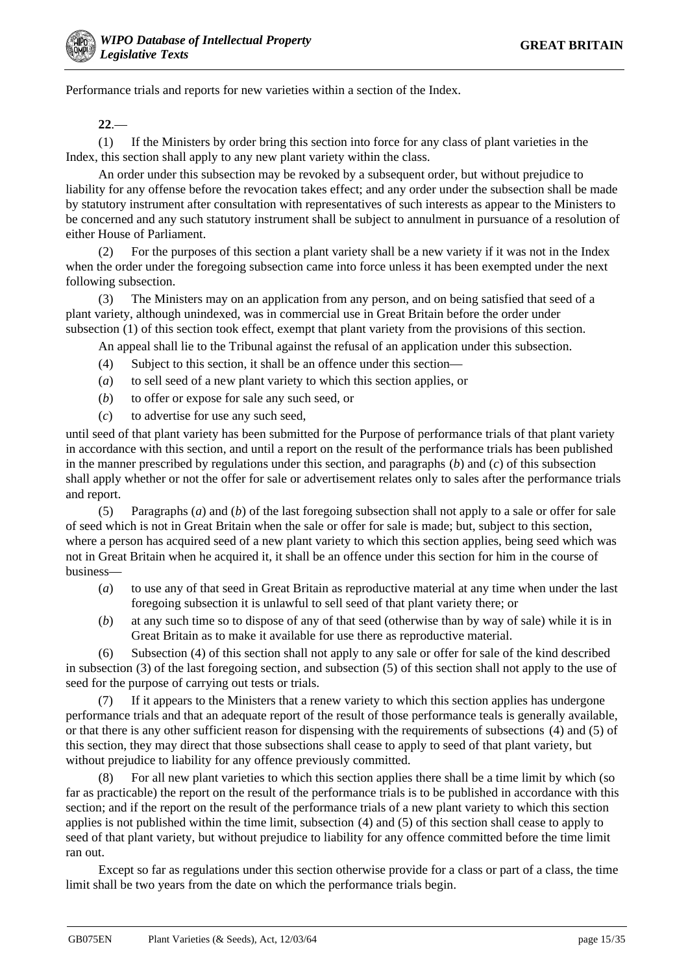Performance trials and reports for new varieties within a section of the Index.

**22**.—

(1) If the Ministers by order bring this section into force for any class of plant varieties in the Index, this section shall apply to any new plant variety within the class.

An order under this subsection may be revoked by a subsequent order, but without prejudice to liability for any offense before the revocation takes effect; and any order under the subsection shall be made by statutory instrument after consultation with representatives of such interests as appear to the Ministers to be concerned and any such statutory instrument shall be subject to annulment in pursuance of a resolution of either House of Parliament.

(2) For the purposes of this section a plant variety shall be a new variety if it was not in the Index when the order under the foregoing subsection came into force unless it has been exempted under the next following subsection.

(3) The Ministers may on an application from any person, and on being satisfied that seed of a plant variety, although unindexed, was in commercial use in Great Britain before the order under subsection (1) of this section took effect, exempt that plant variety from the provisions of this section.

An appeal shall lie to the Tribunal against the refusal of an application under this subsection.

- (4) Subject to this section, it shall be an offence under this section—
- (*a*) to sell seed of a new plant variety to which this section applies, or
- (*b*) to offer or expose for sale any such seed, or
- (*c*) to advertise for use any such seed,

until seed of that plant variety has been submitted for the Purpose of performance trials of that plant variety in accordance with this section, and until a report on the result of the performance trials has been published in the manner prescribed by regulations under this section, and paragraphs (*b*) and (*c*) of this subsection shall apply whether or not the offer for sale or advertisement relates only to sales after the performance trials and report.

(5) Paragraphs (*a*) and (*b*) of the last foregoing subsection shall not apply to a sale or offer for sale of seed which is not in Great Britain when the sale or offer for sale is made; but, subject to this section, where a person has acquired seed of a new plant variety to which this section applies, being seed which was not in Great Britain when he acquired it, it shall be an offence under this section for him in the course of business—

- (*a*) to use any of that seed in Great Britain as reproductive material at any time when under the last foregoing subsection it is unlawful to sell seed of that plant variety there; or
- (*b*) at any such time so to dispose of any of that seed (otherwise than by way of sale) while it is in Great Britain as to make it available for use there as reproductive material.

(6) Subsection (4) of this section shall not apply to any sale or offer for sale of the kind described in subsection (3) of the last foregoing section, and subsection (5) of this section shall not apply to the use of seed for the purpose of carrying out tests or trials.

(7) If it appears to the Ministers that a renew variety to which this section applies has undergone performance trials and that an adequate report of the result of those performance teals is generally available, or that there is any other sufficient reason for dispensing with the requirements of subsections (4) and (5) of this section, they may direct that those subsections shall cease to apply to seed of that plant variety, but without prejudice to liability for any offence previously committed.

For all new plant varieties to which this section applies there shall be a time limit by which (so far as practicable) the report on the result of the performance trials is to be published in accordance with this section; and if the report on the result of the performance trials of a new plant variety to which this section applies is not published within the time limit, subsection (4) and (5) of this section shall cease to apply to seed of that plant variety, but without prejudice to liability for any offence committed before the time limit ran out.

Except so far as regulations under this section otherwise provide for a class or part of a class, the time limit shall be two years from the date on which the performance trials begin.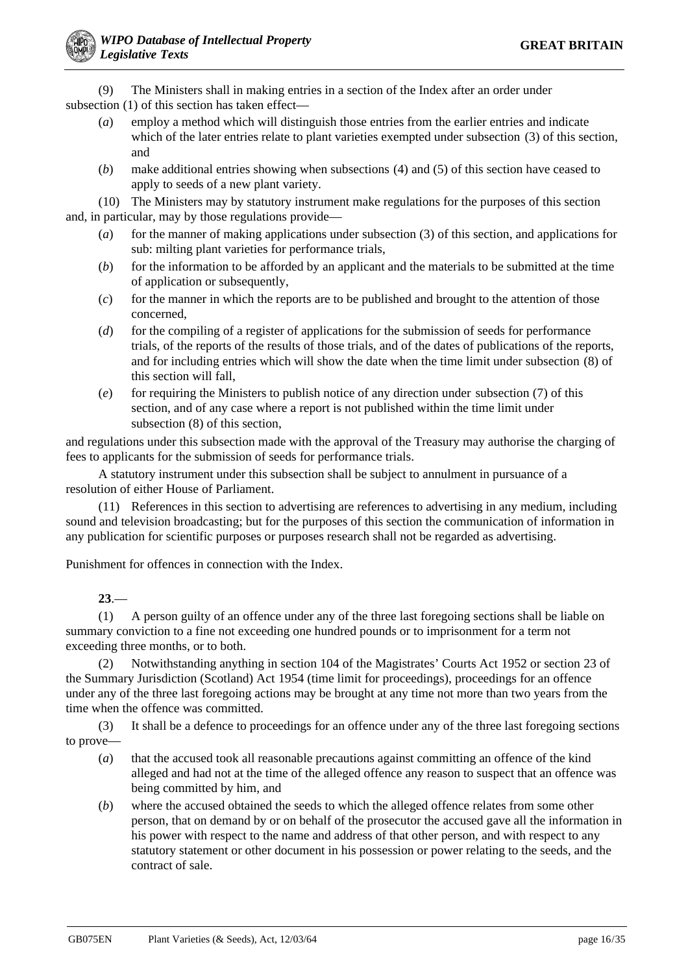(9) The Ministers shall in making entries in a section of the Index after an order under subsection (1) of this section has taken effect—

- (*a*) employ a method which will distinguish those entries from the earlier entries and indicate which of the later entries relate to plant varieties exempted under subsection (3) of this section, and
- (*b*) make additional entries showing when subsections (4) and (5) of this section have ceased to apply to seeds of a new plant variety.

(10) The Ministers may by statutory instrument make regulations for the purposes of this section and, in particular, may by those regulations provide—

- (*a*) for the manner of making applications under subsection (3) of this section, and applications for sub: milting plant varieties for performance trials,
- (*b*) for the information to be afforded by an applicant and the materials to be submitted at the time of application or subsequently,
- (*c*) for the manner in which the reports are to be published and brought to the attention of those concerned,
- (*d*) for the compiling of a register of applications for the submission of seeds for performance trials, of the reports of the results of those trials, and of the dates of publications of the reports, and for including entries which will show the date when the time limit under subsection (8) of this section will fall,
- (*e*) for requiring the Ministers to publish notice of any direction under subsection (7) of this section, and of any case where a report is not published within the time limit under subsection (8) of this section,

and regulations under this subsection made with the approval of the Treasury may authorise the charging of fees to applicants for the submission of seeds for performance trials.

A statutory instrument under this subsection shall be subject to annulment in pursuance of a resolution of either House of Parliament.

(11) References in this section to advertising are references to advertising in any medium, including sound and television broadcasting; but for the purposes of this section the communication of information in any publication for scientific purposes or purposes research shall not be regarded as advertising.

Punishment for offences in connection with the Index.

#### **23**.—

(1) A person guilty of an offence under any of the three last foregoing sections shall be liable on summary conviction to a fine not exceeding one hundred pounds or to imprisonment for a term not exceeding three months, or to both.

(2) Notwithstanding anything in section 104 of the Magistrates' Courts Act 1952 or section 23 of the Summary Jurisdiction (Scotland) Act 1954 (time limit for proceedings), proceedings for an offence under any of the three last foregoing actions may be brought at any time not more than two years from the time when the offence was committed.

(3) It shall be a defence to proceedings for an offence under any of the three last foregoing sections to prove—

- (*a*) that the accused took all reasonable precautions against committing an offence of the kind alleged and had not at the time of the alleged offence any reason to suspect that an offence was being committed by him, and
- (*b*) where the accused obtained the seeds to which the alleged offence relates from some other person, that on demand by or on behalf of the prosecutor the accused gave all the information in his power with respect to the name and address of that other person, and with respect to any statutory statement or other document in his possession or power relating to the seeds, and the contract of sale.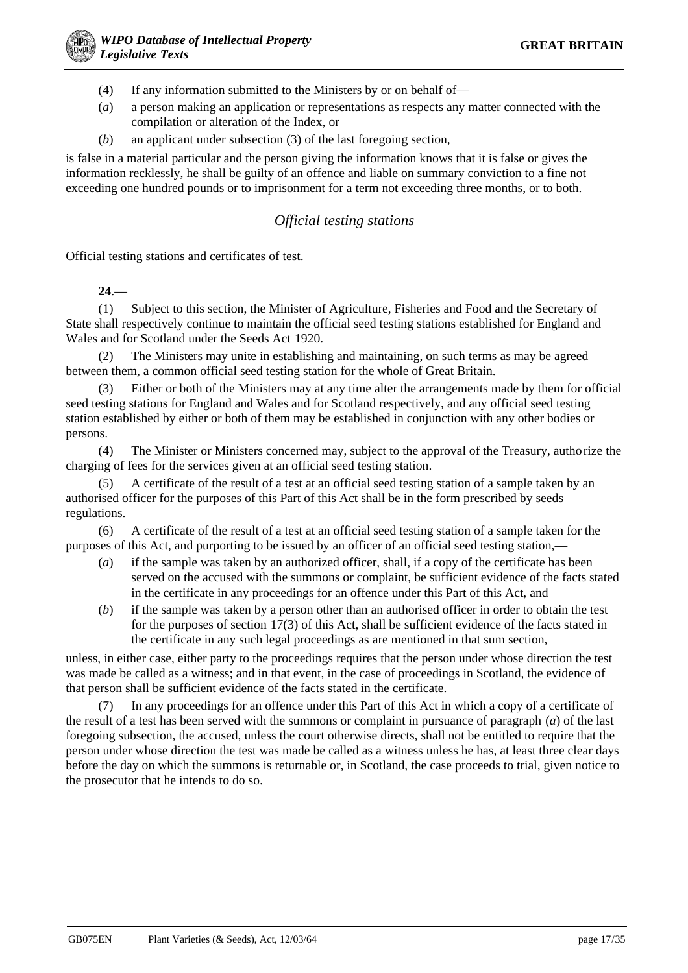- (4) If any information submitted to the Ministers by or on behalf of—
- (*a*) a person making an application or representations as respects any matter connected with the compilation or alteration of the Index, or
- (*b*) an applicant under subsection (3) of the last foregoing section,

is false in a material particular and the person giving the information knows that it is false or gives the information recklessly, he shall be guilty of an offence and liable on summary conviction to a fine not exceeding one hundred pounds or to imprisonment for a term not exceeding three months, or to both.

#### *Official testing stations*

Official testing stations and certificates of test.

**24**.—

(1) Subject to this section, the Minister of Agriculture, Fisheries and Food and the Secretary of State shall respectively continue to maintain the official seed testing stations established for England and Wales and for Scotland under the Seeds Act 1920.

(2) The Ministers may unite in establishing and maintaining, on such terms as may be agreed between them, a common official seed testing station for the whole of Great Britain.

Either or both of the Ministers may at any time alter the arrangements made by them for official seed testing stations for England and Wales and for Scotland respectively, and any official seed testing station established by either or both of them may be established in conjunction with any other bodies or persons.

(4) The Minister or Ministers concerned may, subject to the approval of the Treasury, authorize the charging of fees for the services given at an official seed testing station.

(5) A certificate of the result of a test at an official seed testing station of a sample taken by an authorised officer for the purposes of this Part of this Act shall be in the form prescribed by seeds regulations.

(6) A certificate of the result of a test at an official seed testing station of a sample taken for the purposes of this Act, and purporting to be issued by an officer of an official seed testing station,—

- (*a*) if the sample was taken by an authorized officer, shall, if a copy of the certificate has been served on the accused with the summons or complaint, be sufficient evidence of the facts stated in the certificate in any proceedings for an offence under this Part of this Act, and
- (*b*) if the sample was taken by a person other than an authorised officer in order to obtain the test for the purposes of section 17(3) of this Act, shall be sufficient evidence of the facts stated in the certificate in any such legal proceedings as are mentioned in that sum section,

unless, in either case, either party to the proceedings requires that the person under whose direction the test was made be called as a witness; and in that event, in the case of proceedings in Scotland, the evidence of that person shall be sufficient evidence of the facts stated in the certificate.

(7) In any proceedings for an offence under this Part of this Act in which a copy of a certificate of the result of a test has been served with the summons or complaint in pursuance of paragraph (*a*) of the last foregoing subsection, the accused, unless the court otherwise directs, shall not be entitled to require that the person under whose direction the test was made be called as a witness unless he has, at least three clear days before the day on which the summons is returnable or, in Scotland, the case proceeds to trial, given notice to the prosecutor that he intends to do so.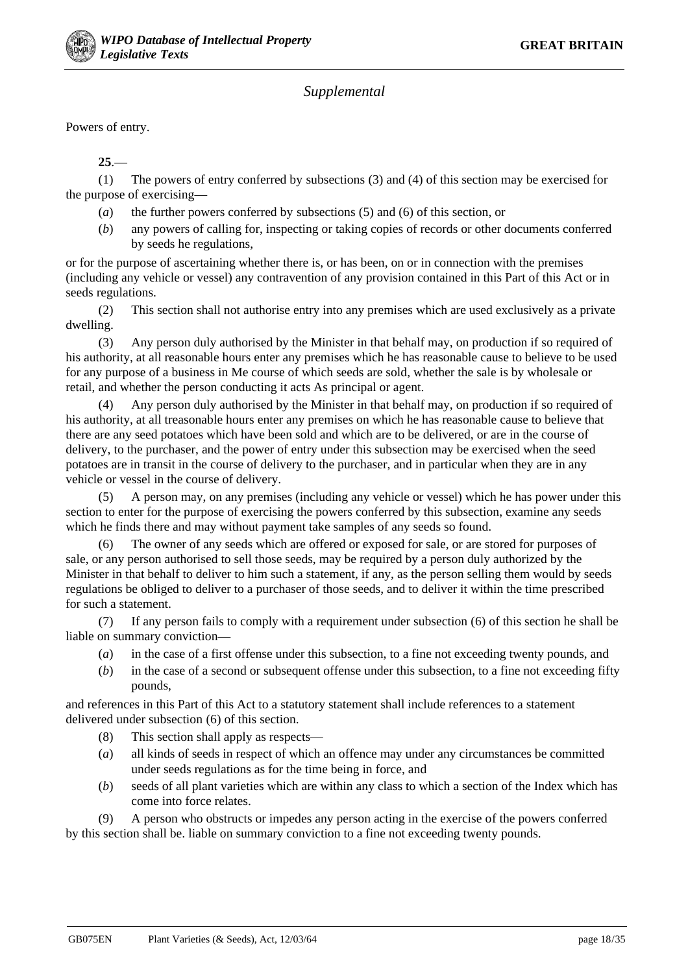

### *Supplemental*

Powers of entry.

**25**.—

(1) The powers of entry conferred by subsections (3) and (4) of this section may be exercised for the purpose of exercising—

- (*a*) the further powers conferred by subsections (5) and (6) of this section, or
- (*b*) any powers of calling for, inspecting or taking copies of records or other documents conferred by seeds he regulations,

or for the purpose of ascertaining whether there is, or has been, on or in connection with the premises (including any vehicle or vessel) any contravention of any provision contained in this Part of this Act or in seeds regulations.

(2) This section shall not authorise entry into any premises which are used exclusively as a private dwelling.

(3) Any person duly authorised by the Minister in that behalf may, on production if so required of his authority, at all reasonable hours enter any premises which he has reasonable cause to believe to be used for any purpose of a business in Me course of which seeds are sold, whether the sale is by wholesale or retail, and whether the person conducting it acts As principal or agent.

(4) Any person duly authorised by the Minister in that behalf may, on production if so required of his authority, at all treasonable hours enter any premises on which he has reasonable cause to believe that there are any seed potatoes which have been sold and which are to be delivered, or are in the course of delivery, to the purchaser, and the power of entry under this subsection may be exercised when the seed potatoes are in transit in the course of delivery to the purchaser, and in particular when they are in any vehicle or vessel in the course of delivery.

(5) A person may, on any premises (including any vehicle or vessel) which he has power under this section to enter for the purpose of exercising the powers conferred by this subsection, examine any seeds which he finds there and may without payment take samples of any seeds so found.

(6) The owner of any seeds which are offered or exposed for sale, or are stored for purposes of sale, or any person authorised to sell those seeds, may be required by a person duly authorized by the Minister in that behalf to deliver to him such a statement, if any, as the person selling them would by seeds regulations be obliged to deliver to a purchaser of those seeds, and to deliver it within the time prescribed for such a statement.

(7) If any person fails to comply with a requirement under subsection (6) of this section he shall be liable on summary conviction—

- (*a*) in the case of a first offense under this subsection, to a fine not exceeding twenty pounds, and
- (*b*) in the case of a second or subsequent offense under this subsection, to a fine not exceeding fifty pounds,

and references in this Part of this Act to a statutory statement shall include references to a statement delivered under subsection (6) of this section.

- (8) This section shall apply as respects—
- (*a*) all kinds of seeds in respect of which an offence may under any circumstances be committed under seeds regulations as for the time being in force, and
- (*b*) seeds of all plant varieties which are within any class to which a section of the Index which has come into force relates.

(9) A person who obstructs or impedes any person acting in the exercise of the powers conferred by this section shall be. liable on summary conviction to a fine not exceeding twenty pounds.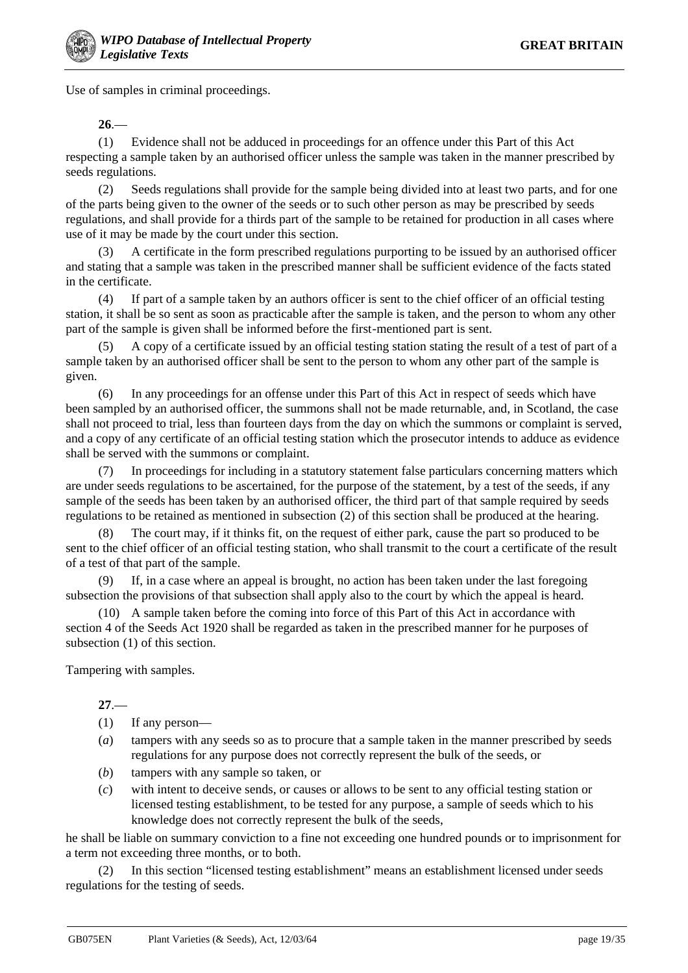Use of samples in criminal proceedings.

**26**.—

(1) Evidence shall not be adduced in proceedings for an offence under this Part of this Act respecting a sample taken by an authorised officer unless the sample was taken in the manner prescribed by seeds regulations.

(2) Seeds regulations shall provide for the sample being divided into at least two parts, and for one of the parts being given to the owner of the seeds or to such other person as may be prescribed by seeds regulations, and shall provide for a thirds part of the sample to be retained for production in all cases where use of it may be made by the court under this section.

(3) A certificate in the form prescribed regulations purporting to be issued by an authorised officer and stating that a sample was taken in the prescribed manner shall be sufficient evidence of the facts stated in the certificate.

(4) If part of a sample taken by an authors officer is sent to the chief officer of an official testing station, it shall be so sent as soon as practicable after the sample is taken, and the person to whom any other part of the sample is given shall be informed before the first-mentioned part is sent.

(5) A copy of a certificate issued by an official testing station stating the result of a test of part of a sample taken by an authorised officer shall be sent to the person to whom any other part of the sample is given.

(6) In any proceedings for an offense under this Part of this Act in respect of seeds which have been sampled by an authorised officer, the summons shall not be made returnable, and, in Scotland, the case shall not proceed to trial, less than fourteen days from the day on which the summons or complaint is served, and a copy of any certificate of an official testing station which the prosecutor intends to adduce as evidence shall be served with the summons or complaint.

(7) In proceedings for including in a statutory statement false particulars concerning matters which are under seeds regulations to be ascertained, for the purpose of the statement, by a test of the seeds, if any sample of the seeds has been taken by an authorised officer, the third part of that sample required by seeds regulations to be retained as mentioned in subsection (2) of this section shall be produced at the hearing.

(8) The court may, if it thinks fit, on the request of either park, cause the part so produced to be sent to the chief officer of an official testing station, who shall transmit to the court a certificate of the result of a test of that part of the sample.

(9) If, in a case where an appeal is brought, no action has been taken under the last foregoing subsection the provisions of that subsection shall apply also to the court by which the appeal is heard.

(10) A sample taken before the coming into force of this Part of this Act in accordance with section 4 of the Seeds Act 1920 shall be regarded as taken in the prescribed manner for he purposes of subsection (1) of this section.

Tampering with samples.

**27**.—

- (1) If any person—
- (*a*) tampers with any seeds so as to procure that a sample taken in the manner prescribed by seeds regulations for any purpose does not correctly represent the bulk of the seeds, or
- (*b*) tampers with any sample so taken, or
- (*c*) with intent to deceive sends, or causes or allows to be sent to any official testing station or licensed testing establishment, to be tested for any purpose, a sample of seeds which to his knowledge does not correctly represent the bulk of the seeds,

he shall be liable on summary conviction to a fine not exceeding one hundred pounds or to imprisonment for a term not exceeding three months, or to both.

(2) In this section "licensed testing establishment" means an establishment licensed under seeds regulations for the testing of seeds.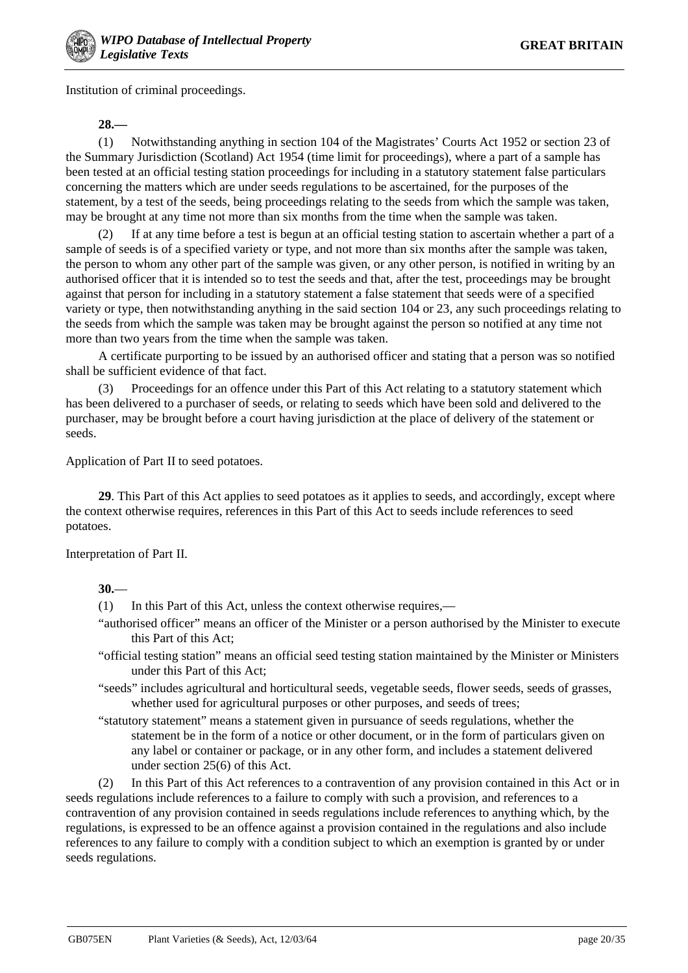Institution of criminal proceedings.

**28.—**

(1) Notwithstanding anything in section 104 of the Magistrates' Courts Act 1952 or section 23 of the Summary Jurisdiction (Scotland) Act 1954 (time limit for proceedings), where a part of a sample has been tested at an official testing station proceedings for including in a statutory statement false particulars concerning the matters which are under seeds regulations to be ascertained, for the purposes of the statement, by a test of the seeds, being proceedings relating to the seeds from which the sample was taken, may be brought at any time not more than six months from the time when the sample was taken.

(2) If at any time before a test is begun at an official testing station to ascertain whether a part of a sample of seeds is of a specified variety or type, and not more than six months after the sample was taken, the person to whom any other part of the sample was given, or any other person, is notified in writing by an authorised officer that it is intended so to test the seeds and that, after the test, proceedings may be brought against that person for including in a statutory statement a false statement that seeds were of a specified variety or type, then notwithstanding anything in the said section 104 or 23, any such proceedings relating to the seeds from which the sample was taken may be brought against the person so notified at any time not more than two years from the time when the sample was taken.

A certificate purporting to be issued by an authorised officer and stating that a person was so notified shall be sufficient evidence of that fact.

Proceedings for an offence under this Part of this Act relating to a statutory statement which has been delivered to a purchaser of seeds, or relating to seeds which have been sold and delivered to the purchaser, may be brought before a court having jurisdiction at the place of delivery of the statement or seeds.

Application of Part II to seed potatoes.

**29**. This Part of this Act applies to seed potatoes as it applies to seeds, and accordingly, except where the context otherwise requires, references in this Part of this Act to seeds include references to seed potatoes.

Interpretation of Part II.

**30.**—

(1) In this Part of this Act, unless the context otherwise requires,—

- "authorised officer" means an officer of the Minister or a person authorised by the Minister to execute this Part of this Act;
- "official testing station" means an official seed testing station maintained by the Minister or Ministers under this Part of this Act;
- "seeds" includes agricultural and horticultural seeds, vegetable seeds, flower seeds, seeds of grasses, whether used for agricultural purposes or other purposes, and seeds of trees;
- "statutory statement" means a statement given in pursuance of seeds regulations, whether the statement be in the form of a notice or other document, or in the form of particulars given on any label or container or package, or in any other form, and includes a statement delivered under section 25(6) of this Act.

(2) In this Part of this Act references to a contravention of any provision contained in this Act or in seeds regulations include references to a failure to comply with such a provision, and references to a contravention of any provision contained in seeds regulations include references to anything which, by the regulations, is expressed to be an offence against a provision contained in the regulations and also include references to any failure to comply with a condition subject to which an exemption is granted by or under seeds regulations.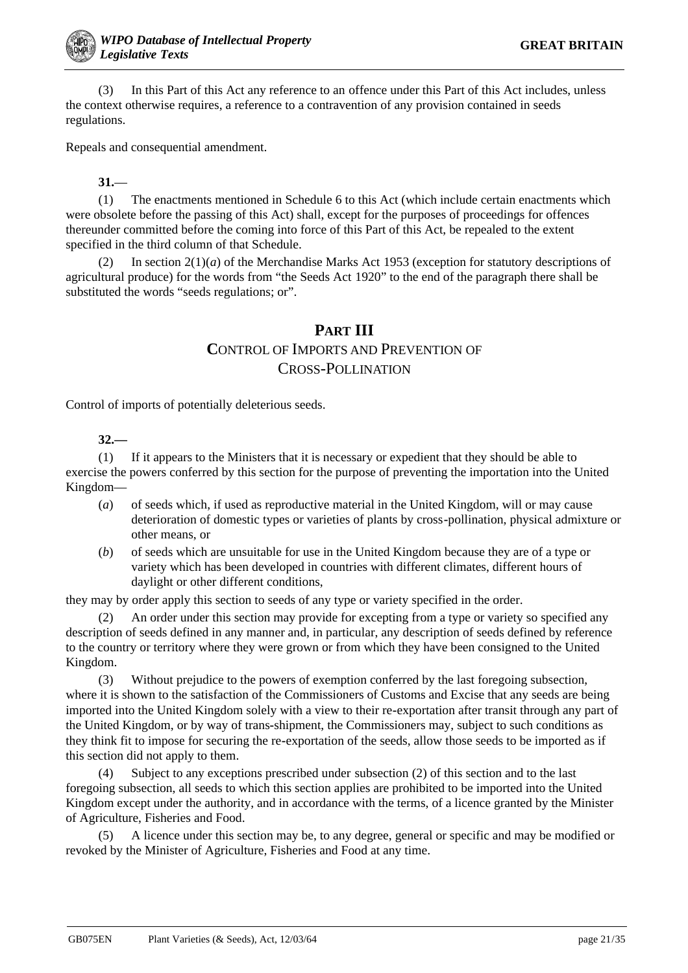(3) In this Part of this Act any reference to an offence under this Part of this Act includes, unless the context otherwise requires, a reference to a contravention of any provision contained in seeds regulations.

Repeals and consequential amendment.

#### **31.**—

(1) The enactments mentioned in Schedule 6 to this Act (which include certain enactments which were obsolete before the passing of this Act) shall, except for the purposes of proceedings for offences thereunder committed before the coming into force of this Part of this Act, be repealed to the extent specified in the third column of that Schedule.

(2) In section  $2(1)(a)$  of the Merchandise Marks Act 1953 (exception for statutory descriptions of agricultural produce) for the words from "the Seeds Act 1920" to the end of the paragraph there shall be substituted the words "seeds regulations; or".

### **PART III C**ONTROL OF IMPORTS AND PREVENTION OF CROSS-POLLINATION

Control of imports of potentially deleterious seeds.

**32.—**

(1) If it appears to the Ministers that it is necessary or expedient that they should be able to exercise the powers conferred by this section for the purpose of preventing the importation into the United Kingdom—

- (*a*) of seeds which, if used as reproductive material in the United Kingdom, will or may cause deterioration of domestic types or varieties of plants by cross**-**pollination, physical admixture or other means, or
- (*b*) of seeds which are unsuitable for use in the United Kingdom because they are of a type or variety which has been developed in countries with different climates, different hours of daylight or other different conditions,

they may by order apply this section to seeds of any type or variety specified in the order.

(2) An order under this section may provide for excepting from a type or variety so specified any description of seeds defined in any manner and, in particular, any description of seeds defined by reference to the country or territory where they were grown or from which they have been consigned to the United Kingdom.

(3) Without prejudice to the powers of exemption conferred by the last foregoing subsection, where it is shown to the satisfaction of the Commissioners of Customs and Excise that any seeds are being imported into the United Kingdom solely with a view to their re**-**exportation after transit through any part of the United Kingdom, or by way of trans**-**shipment, the Commissioners may, subject to such conditions as they think fit to impose for securing the re**-**exportation of the seeds, allow those seeds to be imported as if this section did not apply to them.

(4) Subject to any exceptions prescribed under subsection (2) of this section and to the last foregoing subsection, all seeds to which this section applies are prohibited to be imported into the United Kingdom except under the authority, and in accordance with the terms, of a licence granted by the Minister of Agriculture, Fisheries and Food.

(5) A licence under this section may be, to any degree, general or specific and may be modified or revoked by the Minister of Agriculture, Fisheries and Food at any time.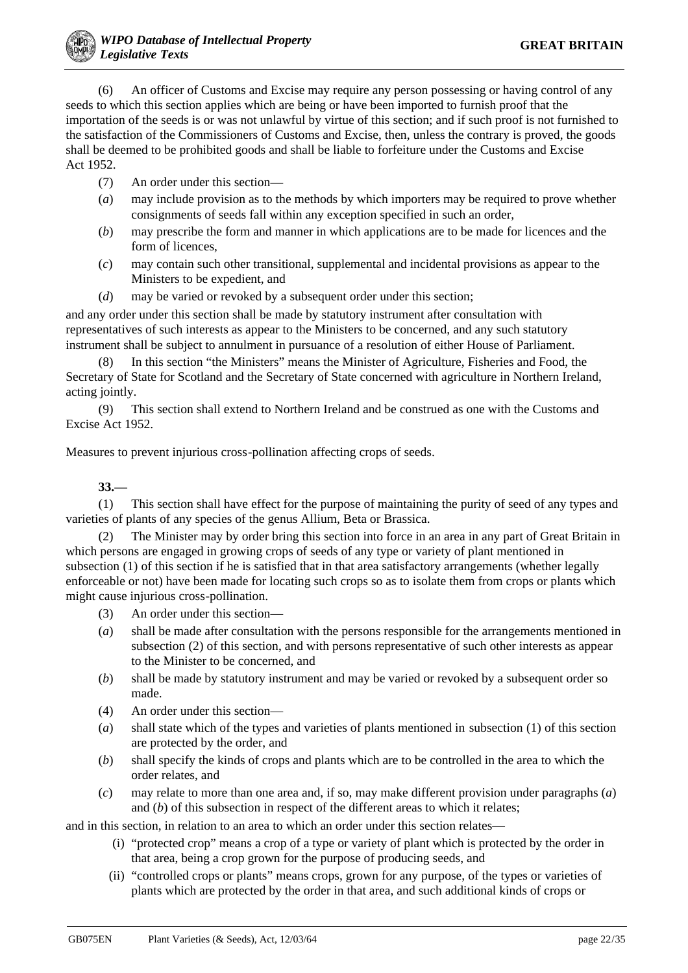(6) An officer of Customs and Excise may require any person possessing or having control of any seeds to which this section applies which are being or have been imported to furnish proof that the importation of the seeds is or was not unlawful by virtue of this section; and if such proof is not furnished to the satisfaction of the Commissioners of Customs and Excise, then, unless the contrary is proved, the goods shall be deemed to be prohibited goods and shall be liable to forfeiture under the Customs and Excise Act 1952.

- (7) An order under this section—
- (*a*) may include provision as to the methods by which importers may be required to prove whether consignments of seeds fall within any exception specified in such an order,
- (*b*) may prescribe the form and manner in which applications are to be made for licences and the form of licences,
- (*c*) may contain such other transitional, supplemental and incidental provisions as appear to the Ministers to be expedient, and
- (*d*) may be varied or revoked by a subsequent order under this section;

and any order under this section shall be made by statutory instrument after consultation with representatives of such interests as appear to the Ministers to be concerned, and any such statutory instrument shall be subject to annulment in pursuance of a resolution of either House of Parliament.

(8) In this section "the Ministers" means the Minister of Agriculture, Fisheries and Food, the Secretary of State for Scotland and the Secretary of State concerned with agriculture in Northern Ireland, acting jointly.

(9) This section shall extend to Northern Ireland and be construed as one with the Customs and Excise Act 1952.

Measures to prevent injurious cross-pollination affecting crops of seeds.

#### **33.—**

(1) This section shall have effect for the purpose of maintaining the purity of seed of any types and varieties of plants of any species of the genus Allium, Beta or Brassica.

(2) The Minister may by order bring this section into force in an area in any part of Great Britain in which persons are engaged in growing crops of seeds of any type or variety of plant mentioned in subsection (1) of this section if he is satisfied that in that area satisfactory arrangements (whether legally enforceable or not) have been made for locating such crops so as to isolate them from crops or plants which might cause injurious cross-pollination.

- (3) An order under this section—
- (*a*) shall be made after consultation with the persons responsible for the arrangements mentioned in subsection (2) of this section, and with persons representative of such other interests as appear to the Minister to be concerned, and
- (*b*) shall be made by statutory instrument and may be varied or revoked by a subsequent order so made.
- (4) An order under this section—
- (*a*) shall state which of the types and varieties of plants mentioned in subsection (1) of this section are protected by the order, and
- (*b*) shall specify the kinds of crops and plants which are to be controlled in the area to which the order relates, and
- (*c*) may relate to more than one area and, if so, may make different provision under paragraphs (*a*) and (*b*) of this subsection in respect of the different areas to which it relates;

and in this section, in relation to an area to which an order under this section relates—

- (i) "protected crop" means a crop of a type or variety of plant which is protected by the order in that area, being a crop grown for the purpose of producing seeds, and
- (ii) "controlled crops or plants" means crops, grown for any purpose, of the types or varieties of plants which are protected by the order in that area, and such additional kinds of crops or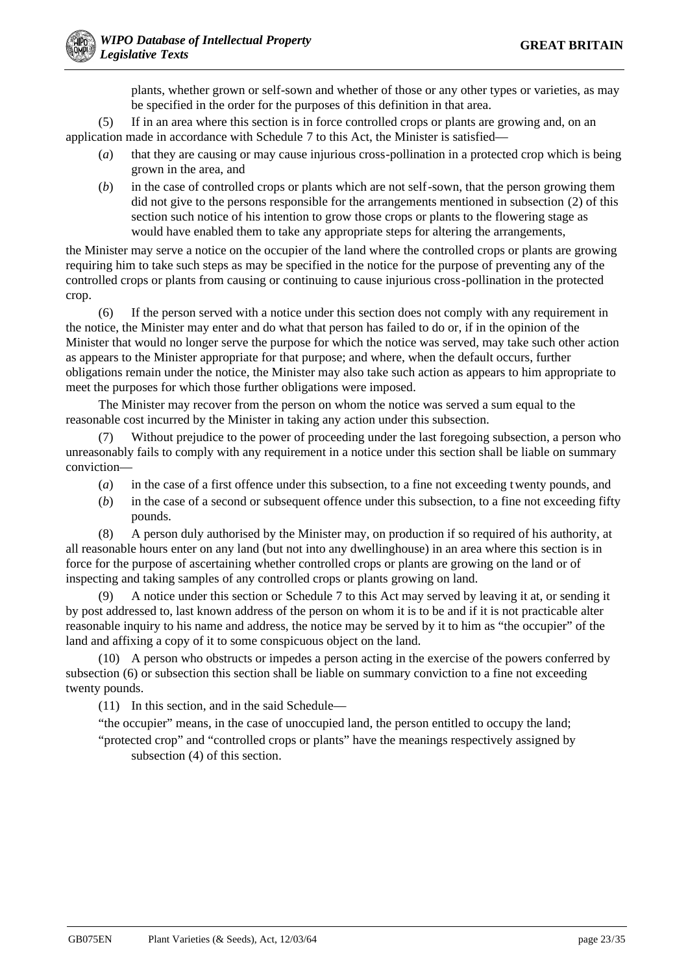plants, whether grown or self-sown and whether of those or any other types or varieties, as may be specified in the order for the purposes of this definition in that area.

(5) If in an area where this section is in force controlled crops or plants are growing and, on an application made in accordance with Schedule 7 to this Act, the Minister is satisfied—

- (*a*) that they are causing or may cause injurious cross-pollination in a protected crop which is being grown in the area, and
- (*b*) in the case of controlled crops or plants which are not self-sown, that the person growing them did not give to the persons responsible for the arrangements mentioned in subsection (2) of this section such notice of his intention to grow those crops or plants to the flowering stage as would have enabled them to take any appropriate steps for altering the arrangements,

the Minister may serve a notice on the occupier of the land where the controlled crops or plants are growing requiring him to take such steps as may be specified in the notice for the purpose of preventing any of the controlled crops or plants from causing or continuing to cause injurious cross-pollination in the protected crop.

(6) If the person served with a notice under this section does not comply with any requirement in the notice, the Minister may enter and do what that person has failed to do or, if in the opinion of the Minister that would no longer serve the purpose for which the notice was served, may take such other action as appears to the Minister appropriate for that purpose; and where, when the default occurs, further obligations remain under the notice, the Minister may also take such action as appears to him appropriate to meet the purposes for which those further obligations were imposed.

The Minister may recover from the person on whom the notice was served a sum equal to the reasonable cost incurred by the Minister in taking any action under this subsection.

(7) Without prejudice to the power of proceeding under the last foregoing subsection, a person who unreasonably fails to comply with any requirement in a notice under this section shall be liable on summary conviction—

- (*a*) in the case of a first offence under this subsection, to a fine not exceeding twenty pounds, and
- (*b*) in the case of a second or subsequent offence under this subsection, to a fine not exceeding fifty pounds.

(8) A person duly authorised by the Minister may, on production if so required of his authority, at all reasonable hours enter on any land (but not into any dwellinghouse) in an area where this section is in force for the purpose of ascertaining whether controlled crops or plants are growing on the land or of inspecting and taking samples of any controlled crops or plants growing on land.

(9) A notice under this section or Schedule 7 to this Act may served by leaving it at, or sending it by post addressed to, last known address of the person on whom it is to be and if it is not practicable alter reasonable inquiry to his name and address, the notice may be served by it to him as "the occupier" of the land and affixing a copy of it to some conspicuous object on the land.

(10) A person who obstructs or impedes a person acting in the exercise of the powers conferred by subsection (6) or subsection this section shall be liable on summary conviction to a fine not exceeding twenty pounds.

(11) In this section, and in the said Schedule—

"the occupier" means, in the case of unoccupied land, the person entitled to occupy the land;

"protected crop" and "controlled crops or plants" have the meanings respectively assigned by subsection (4) of this section.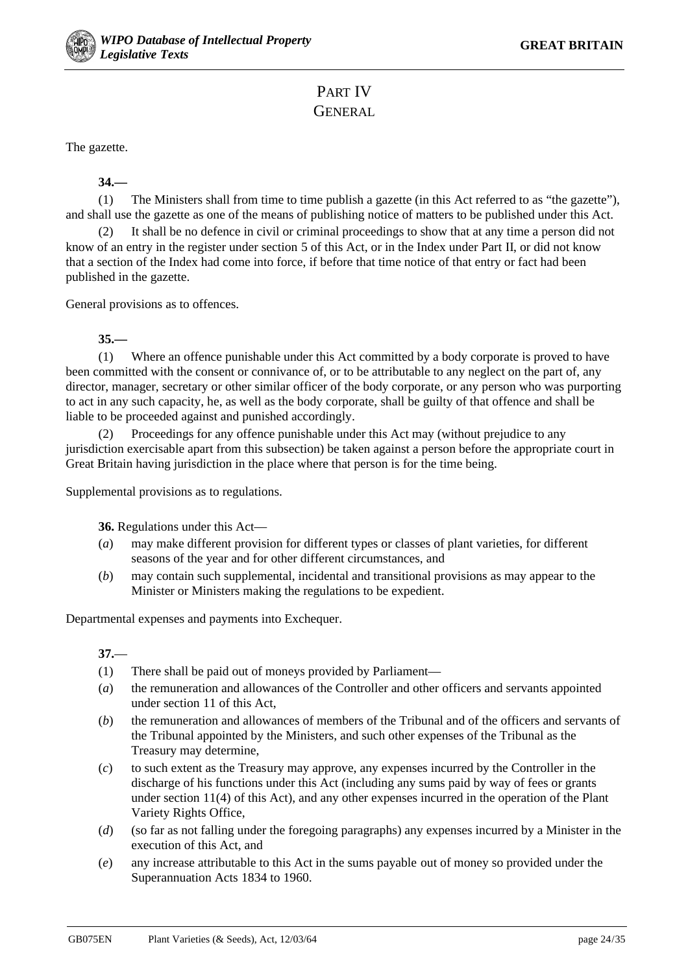

### PART IV GENERAL

The gazette.

#### **34.—**

(1) The Ministers shall from time to time publish a gazette (in this Act referred to as "the gazette"), and shall use the gazette as one of the means of publishing notice of matters to be published under this Act.

(2) It shall be no defence in civil or criminal proceedings to show that at any time a person did not know of an entry in the register under section 5 of this Act, or in the Index under Part II, or did not know that a section of the Index had come into force, if before that time notice of that entry or fact had been published in the gazette.

General provisions as to offences.

**35.—**

(1) Where an offence punishable under this Act committed by a body corporate is proved to have been committed with the consent or connivance of, or to be attributable to any neglect on the part of, any director, manager, secretary or other similar officer of the body corporate, or any person who was purporting to act in any such capacity, he, as well as the body corporate, shall be guilty of that offence and shall be liable to be proceeded against and punished accordingly.

(2) Proceedings for any offence punishable under this Act may (without prejudice to any jurisdiction exercisable apart from this subsection) be taken against a person before the appropriate court in Great Britain having jurisdiction in the place where that person is for the time being.

Supplemental provisions as to regulations.

**36.** Regulations under this Act—

- (*a*) may make different provision for different types or classes of plant varieties, for different seasons of the year and for other different circumstances, and
- (*b*) may contain such supplemental, incidental and transitional provisions as may appear to the Minister or Ministers making the regulations to be expedient.

Departmental expenses and payments into Exchequer.

**37.**—

- (1) There shall be paid out of moneys provided by Parliament—
- (*a*) the remuneration and allowances of the Controller and other officers and servants appointed under section 11 of this Act,
- (*b*) the remuneration and allowances of members of the Tribunal and of the officers and servants of the Tribunal appointed by the Ministers, and such other expenses of the Tribunal as the Treasury may determine,
- (*c*) to such extent as the Treasury may approve, any expenses incurred by the Controller in the discharge of his functions under this Act (including any sums paid by way of fees or grants under section 11(4) of this Act), and any other expenses incurred in the operation of the Plant Variety Rights Office,
- (*d*) (so far as not falling under the foregoing paragraphs) any expenses incurred by a Minister in the execution of this Act, and
- (*e*) any increase attributable to this Act in the sums payable out of money so provided under the Superannuation Acts 1834 to 1960.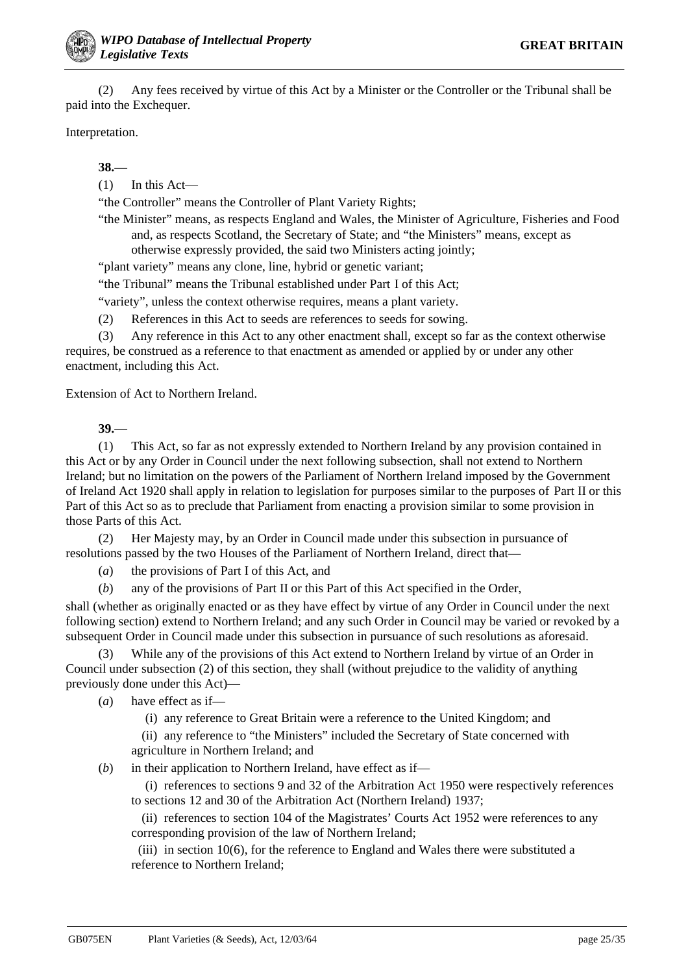(2) Any fees received by virtue of this Act by a Minister or the Controller or the Tribunal shall be paid into the Exchequer.

Interpretation.

**38.**—

(1) In this Act—

"the Controller" means the Controller of Plant Variety Rights;

"the Minister" means, as respects England and Wales, the Minister of Agriculture, Fisheries and Food and, as respects Scotland, the Secretary of State; and "the Ministers" means, except as otherwise expressly provided, the said two Ministers acting jointly;

"plant variety" means any clone, line, hybrid or genetic variant;

"the Tribunal" means the Tribunal established under Part I of this Act;

"variety", unless the context otherwise requires, means a plant variety.

(2) References in this Act to seeds are references to seeds for sowing.

(3) Any reference in this Act to any other enactment shall, except so far as the context otherwise requires, be construed as a reference to that enactment as amended or applied by or under any other enactment, including this Act.

Extension of Act to Northern Ireland.

**39.**—

(1) This Act, so far as not expressly extended to Northern Ireland by any provision contained in this Act or by any Order in Council under the next following subsection, shall not extend to Northern Ireland; but no limitation on the powers of the Parliament of Northern Ireland imposed by the Government of Ireland Act 1920 shall apply in relation to legislation for purposes similar to the purposes of Part II or this Part of this Act so as to preclude that Parliament from enacting a provision similar to some provision in those Parts of this Act.

(2) Her Majesty may, by an Order in Council made under this subsection in pursuance of resolutions passed by the two Houses of the Parliament of Northern Ireland, direct that—

(*a*) the provisions of Part I of this Act, and

(*b*) any of the provisions of Part II or this Part of this Act specified in the Order,

shall (whether as originally enacted or as they have effect by virtue of any Order in Council under the next following section) extend to Northern Ireland; and any such Order in Council may be varied or revoked by a subsequent Order in Council made under this subsection in pursuance of such resolutions as aforesaid.

(3) While any of the provisions of this Act extend to Northern Ireland by virtue of an Order in Council under subsection (2) of this section, they shall (without prejudice to the validity of anything previously done under this Act)—

(*a*) have effect as if—

(i) any reference to Great Britain were a reference to the United Kingdom; and

(ii) any reference to "the Ministers" included the Secretary of State concerned with agriculture in Northern Ireland; and

(*b*) in their application to Northern Ireland, have effect as if—

(i) references to sections 9 and 32 of the Arbitration Act 1950 were respectively references to sections 12 and 30 of the Arbitration Act (Northern Ireland) 1937;

(ii) references to section 104 of the Magistrates' Courts Act 1952 were references to any corresponding provision of the law of Northern Ireland;

(iii) in section 10(6), for the reference to England and Wales there were substituted a reference to Northern Ireland;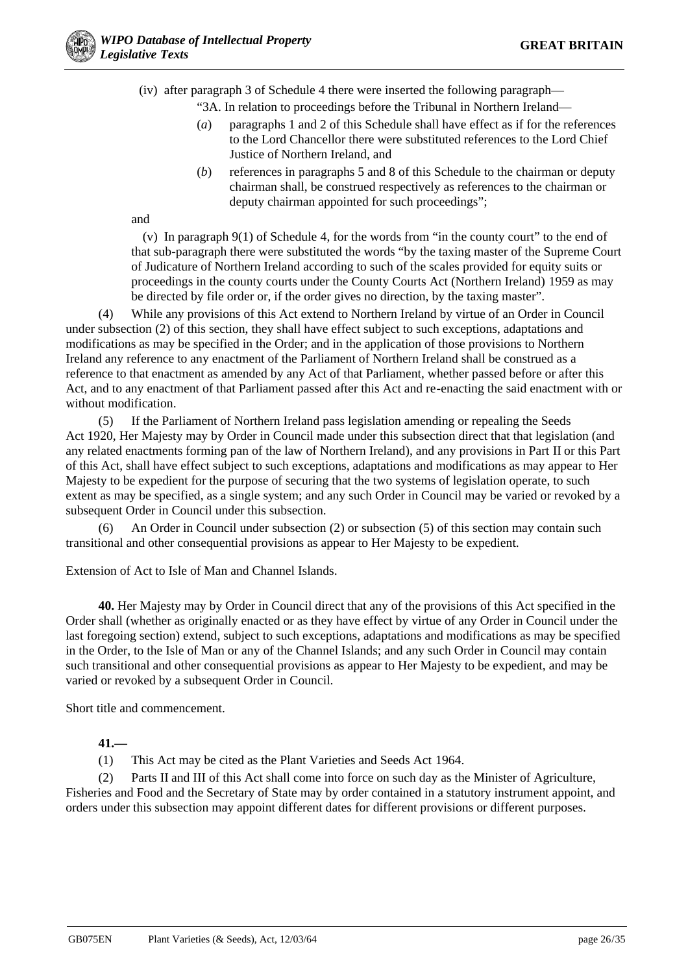(iv) after paragraph 3 of Schedule 4 there were inserted the following paragraph—

- "3A. In relation to proceedings before the Tribunal in Northern Ireland—
- (*a*) paragraphs 1 and 2 of this Schedule shall have effect as if for the references to the Lord Chancellor there were substituted references to the Lord Chief Justice of Northern Ireland, and
- (*b*) references in paragraphs 5 and 8 of this Schedule to the chairman or deputy chairman shall, be construed respectively as references to the chairman or deputy chairman appointed for such proceedings";

and

(v) In paragraph  $9(1)$  of Schedule 4, for the words from "in the county court" to the end of that sub-paragraph there were substituted the words "by the taxing master of the Supreme Court of Judicature of Northern Ireland according to such of the scales provided for equity suits or proceedings in the county courts under the County Courts Act (Northern Ireland) 1959 as may be directed by file order or, if the order gives no direction, by the taxing master".

(4) While any provisions of this Act extend to Northern Ireland by virtue of an Order in Council under subsection (2) of this section, they shall have effect subject to such exceptions, adaptations and modifications as may be specified in the Order; and in the application of those provisions to Northern Ireland any reference to any enactment of the Parliament of Northern Ireland shall be construed as a reference to that enactment as amended by any Act of that Parliament, whether passed before or after this Act, and to any enactment of that Parliament passed after this Act and re-enacting the said enactment with or without modification.

(5) If the Parliament of Northern Ireland pass legislation amending or repealing the Seeds Act 1920, Her Majesty may by Order in Council made under this subsection direct that that legislation (and any related enactments forming pan of the law of Northern Ireland), and any provisions in Part II or this Part of this Act, shall have effect subject to such exceptions, adaptations and modifications as may appear to Her Majesty to be expedient for the purpose of securing that the two systems of legislation operate, to such extent as may be specified, as a single system; and any such Order in Council may be varied or revoked by a subsequent Order in Council under this subsection.

(6) An Order in Council under subsection (2) or subsection (5) of this section may contain such transitional and other consequential provisions as appear to Her Majesty to be expedient.

Extension of Act to Isle of Man and Channel Islands.

**40.** Her Majesty may by Order in Council direct that any of the provisions of this Act specified in the Order shall (whether as originally enacted or as they have effect by virtue of any Order in Council under the last foregoing section) extend, subject to such exceptions, adaptations and modifications as may be specified in the Order, to the Isle of Man or any of the Channel Islands; and any such Order in Council may contain such transitional and other consequential provisions as appear to Her Majesty to be expedient, and may be varied or revoked by a subsequent Order in Council.

Short title and commencement.

**41.—**

(1) This Act may be cited as the Plant Varieties and Seeds Act 1964.

(2) Parts II and III of this Act shall come into force on such day as the Minister of Agriculture, Fisheries and Food and the Secretary of State may by order contained in a statutory instrument appoint, and orders under this subsection may appoint different dates for different provisions or different purposes.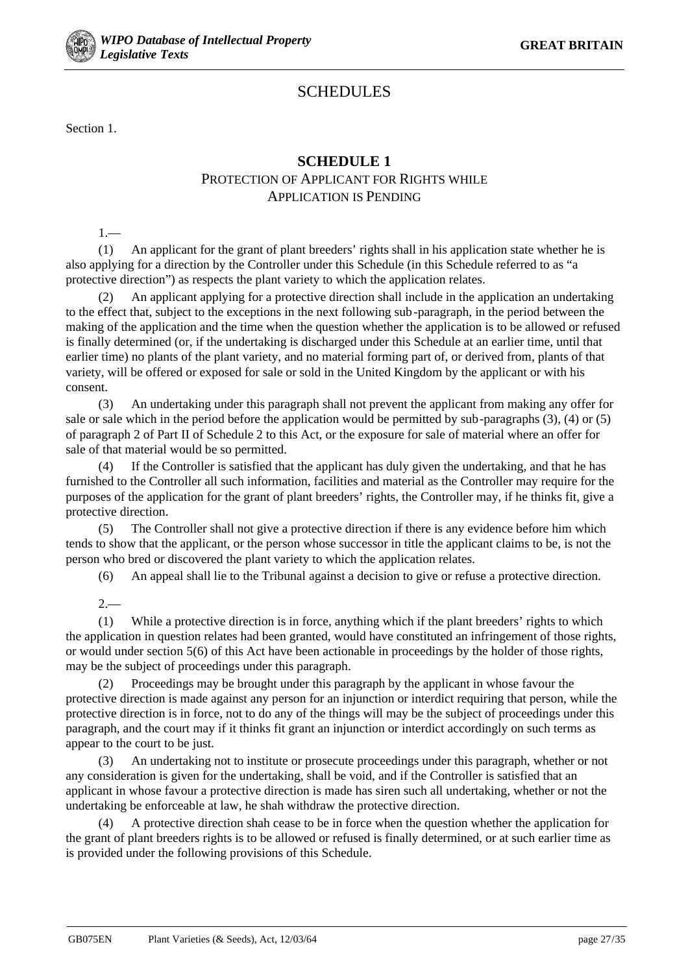

### SCHEDULES

Section 1.

#### **SCHEDULE 1**

### PROTECTION OF APPLICANT FOR RIGHTS WHILE APPLICATION IS PENDING

 $1 -$ 

(1) An applicant for the grant of plant breeders' rights shall in his application state whether he is also applying for a direction by the Controller under this Schedule (in this Schedule referred to as "a protective direction") as respects the plant variety to which the application relates.

(2) An applicant applying for a protective direction shall include in the application an undertaking to the effect that, subject to the exceptions in the next following sub-paragraph, in the period between the making of the application and the time when the question whether the application is to be allowed or refused is finally determined (or, if the undertaking is discharged under this Schedule at an earlier time, until that earlier time) no plants of the plant variety, and no material forming part of, or derived from, plants of that variety, will be offered or exposed for sale or sold in the United Kingdom by the applicant or with his consent.

(3) An undertaking under this paragraph shall not prevent the applicant from making any offer for sale or sale which in the period before the application would be permitted by sub-paragraphs (3), (4) or (5) of paragraph 2 of Part II of Schedule 2 to this Act, or the exposure for sale of material where an offer for sale of that material would be so permitted.

If the Controller is satisfied that the applicant has duly given the undertaking, and that he has furnished to the Controller all such information, facilities and material as the Controller may require for the purposes of the application for the grant of plant breeders' rights, the Controller may, if he thinks fit, give a protective direction.

(5) The Controller shall not give a protective direction if there is any evidence before him which tends to show that the applicant, or the person whose successor in title the applicant claims to be, is not the person who bred or discovered the plant variety to which the application relates.

(6) An appeal shall lie to the Tribunal against a decision to give or refuse a protective direction.

 $2 -$ 

(1) While a protective direction is in force, anything which if the plant breeders' rights to which the application in question relates had been granted, would have constituted an infringement of those rights, or would under section 5(6) of this Act have been actionable in proceedings by the holder of those rights, may be the subject of proceedings under this paragraph.

(2) Proceedings may be brought under this paragraph by the applicant in whose favour the protective direction is made against any person for an injunction or interdict requiring that person, while the protective direction is in force, not to do any of the things will may be the subject of proceedings under this paragraph, and the court may if it thinks fit grant an injunction or interdict accordingly on such terms as appear to the court to be just.

(3) An undertaking not to institute or prosecute proceedings under this paragraph, whether or not any consideration is given for the undertaking, shall be void, and if the Controller is satisfied that an applicant in whose favour a protective direction is made has siren such all undertaking, whether or not the undertaking be enforceable at law, he shah withdraw the protective direction.

(4) A protective direction shah cease to be in force when the question whether the application for the grant of plant breeders rights is to be allowed or refused is finally determined, or at such earlier time as is provided under the following provisions of this Schedule.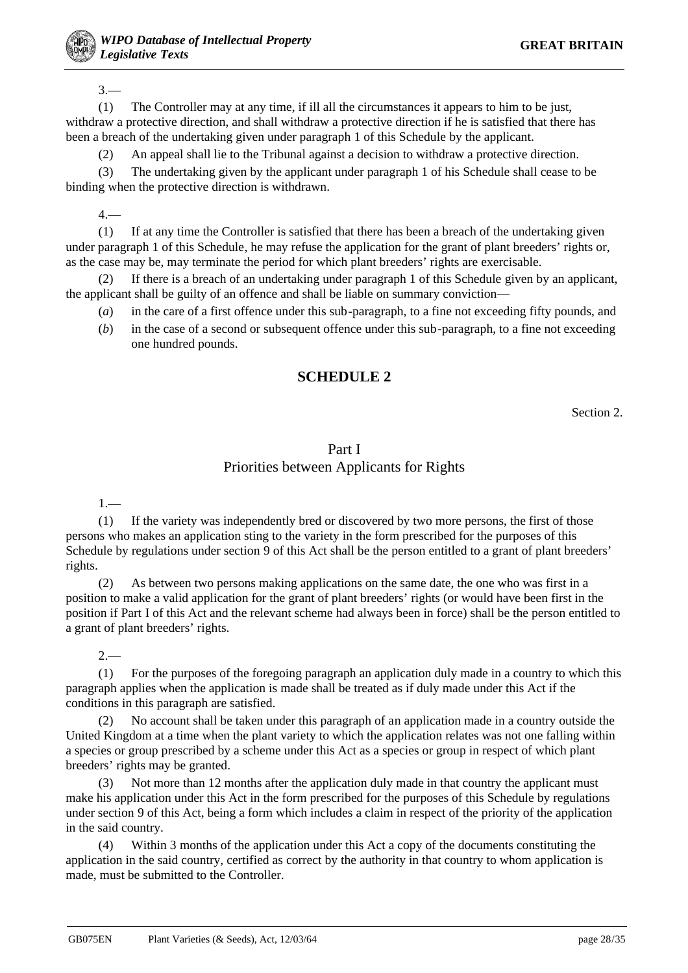$3 -$ 

(1) The Controller may at any time, if ill all the circumstances it appears to him to be just, withdraw a protective direction, and shall withdraw a protective direction if he is satisfied that there has been a breach of the undertaking given under paragraph 1 of this Schedule by the applicant.

(2) An appeal shall lie to the Tribunal against a decision to withdraw a protective direction.

(3) The undertaking given by the applicant under paragraph 1 of his Schedule shall cease to be binding when the protective direction is withdrawn.

 $4-$ 

(1) If at any time the Controller is satisfied that there has been a breach of the undertaking given under paragraph 1 of this Schedule, he may refuse the application for the grant of plant breeders' rights or, as the case may be, may terminate the period for which plant breeders' rights are exercisable.

(2) If there is a breach of an undertaking under paragraph 1 of this Schedule given by an applicant, the applicant shall be guilty of an offence and shall be liable on summary conviction—

- (*a*) in the care of a first offence under this sub-paragraph, to a fine not exceeding fifty pounds, and
- (*b*) in the case of a second or subsequent offence under this sub-paragraph, to a fine not exceeding one hundred pounds.

#### **SCHEDULE 2**

Section 2.

#### Part I Priorities between Applicants for Rights

1.—

(1) If the variety was independently bred or discovered by two more persons, the first of those persons who makes an application sting to the variety in the form prescribed for the purposes of this Schedule by regulations under section 9 of this Act shall be the person entitled to a grant of plant breeders' rights.

(2) As between two persons making applications on the same date, the one who was first in a position to make a valid application for the grant of plant breeders' rights (or would have been first in the position if Part I of this Act and the relevant scheme had always been in force) shall be the person entitled to a grant of plant breeders' rights.

 $2 -$ 

(1) For the purposes of the foregoing paragraph an application duly made in a country to which this paragraph applies when the application is made shall be treated as if duly made under this Act if the conditions in this paragraph are satisfied.

(2) No account shall be taken under this paragraph of an application made in a country outside the United Kingdom at a time when the plant variety to which the application relates was not one falling within a species or group prescribed by a scheme under this Act as a species or group in respect of which plant breeders' rights may be granted.

(3) Not more than 12 months after the application duly made in that country the applicant must make his application under this Act in the form prescribed for the purposes of this Schedule by regulations under section 9 of this Act, being a form which includes a claim in respect of the priority of the application in the said country.

(4) Within 3 months of the application under this Act a copy of the documents constituting the application in the said country, certified as correct by the authority in that country to whom application is made, must be submitted to the Controller.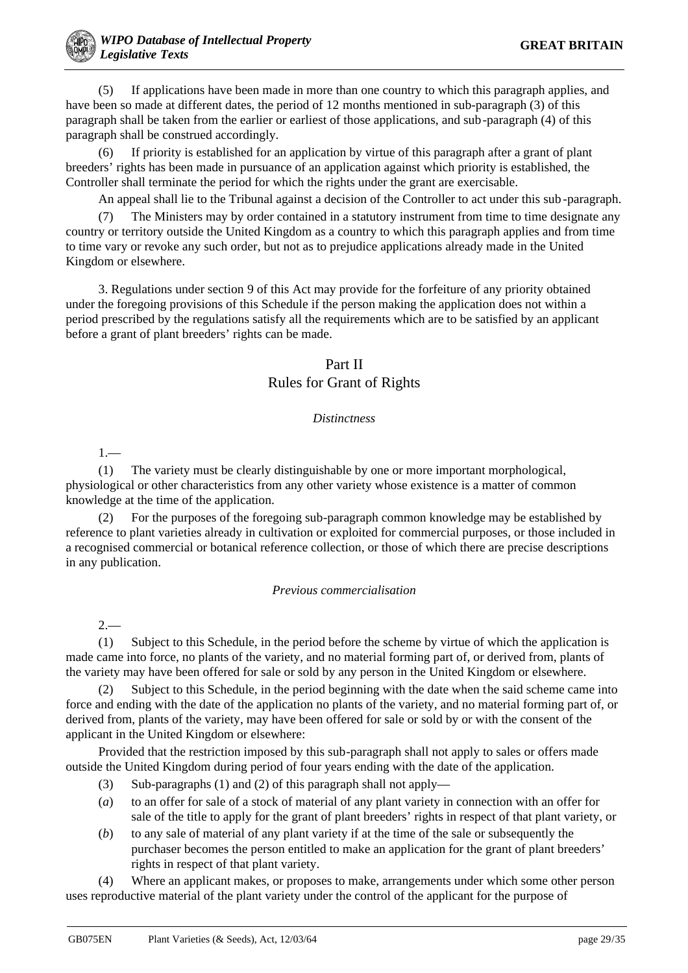(5) If applications have been made in more than one country to which this paragraph applies, and have been so made at different dates, the period of 12 months mentioned in sub-paragraph (3) of this paragraph shall be taken from the earlier or earliest of those applications, and sub-paragraph (4) of this paragraph shall be construed accordingly.

(6) If priority is established for an application by virtue of this paragraph after a grant of plant breeders' rights has been made in pursuance of an application against which priority is established, the Controller shall terminate the period for which the rights under the grant are exercisable.

An appeal shall lie to the Tribunal against a decision of the Controller to act under this sub -paragraph.

(7) The Ministers may by order contained in a statutory instrument from time to time designate any country or territory outside the United Kingdom as a country to which this paragraph applies and from time to time vary or revoke any such order, but not as to prejudice applications already made in the United Kingdom or elsewhere.

3. Regulations under section 9 of this Act may provide for the forfeiture of any priority obtained under the foregoing provisions of this Schedule if the person making the application does not within a period prescribed by the regulations satisfy all the requirements which are to be satisfied by an applicant before a grant of plant breeders' rights can be made.

#### Part II Rules for Grant of Rights

#### *Distinctness*

 $1 -$ 

(1) The variety must be clearly distinguishable by one or more important morphological, physiological or other characteristics from any other variety whose existence is a matter of common knowledge at the time of the application.

(2) For the purposes of the foregoing sub-paragraph common knowledge may be established by reference to plant varieties already in cultivation or exploited for commercial purposes, or those included in a recognised commercial or botanical reference collection, or those of which there are precise descriptions in any publication.

#### *Previous commercialisation*

 $2 -$ 

(1) Subject to this Schedule, in the period before the scheme by virtue of which the application is made came into force, no plants of the variety, and no material forming part of, or derived from, plants of the variety may have been offered for sale or sold by any person in the United Kingdom or elsewhere.

(2) Subject to this Schedule, in the period beginning with the date when the said scheme came into force and ending with the date of the application no plants of the variety, and no material forming part of, or derived from, plants of the variety, may have been offered for sale or sold by or with the consent of the applicant in the United Kingdom or elsewhere:

Provided that the restriction imposed by this sub-paragraph shall not apply to sales or offers made outside the United Kingdom during period of four years ending with the date of the application.

- (3) Sub-paragraphs (1) and (2) of this paragraph shall not apply—
- (*a*) to an offer for sale of a stock of material of any plant variety in connection with an offer for sale of the title to apply for the grant of plant breeders' rights in respect of that plant variety, or
- (*b*) to any sale of material of any plant variety if at the time of the sale or subsequently the purchaser becomes the person entitled to make an application for the grant of plant breeders' rights in respect of that plant variety.

(4) Where an applicant makes, or proposes to make, arrangements under which some other person uses reproductive material of the plant variety under the control of the applicant for the purpose of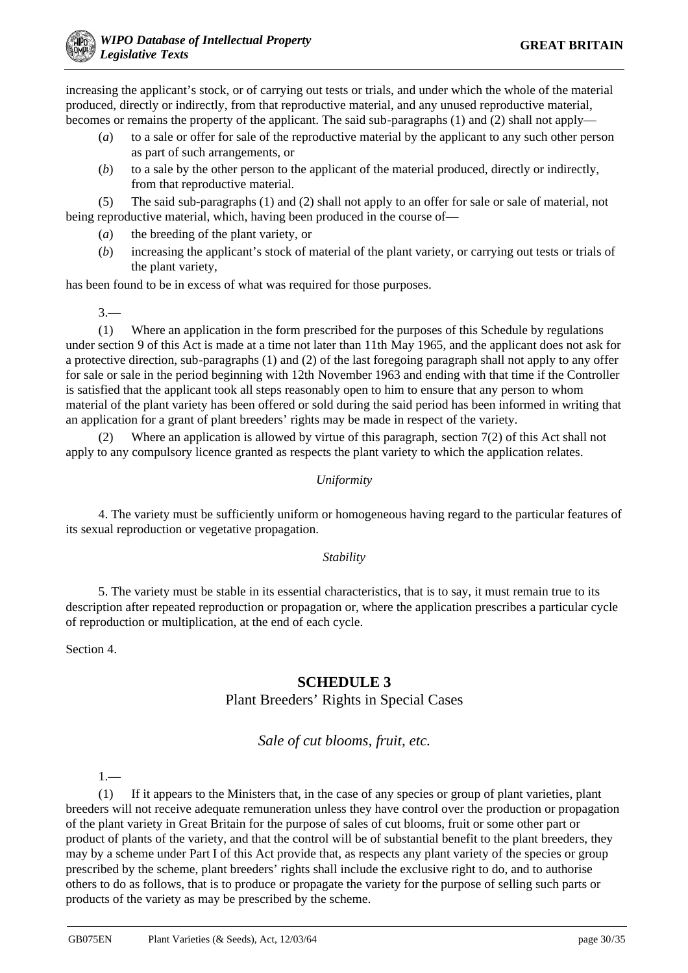increasing the applicant's stock, or of carrying out tests or trials, and under which the whole of the material produced, directly or indirectly, from that reproductive material, and any unused reproductive material, becomes or remains the property of the applicant. The said sub-paragraphs (1) and (2) shall not apply—

- (*a*) to a sale or offer for sale of the reproductive material by the applicant to any such other person as part of such arrangements, or
- (*b*) to a sale by the other person to the applicant of the material produced, directly or indirectly, from that reproductive material.

(5) The said sub-paragraphs (1) and (2) shall not apply to an offer for sale or sale of material, not being reproductive material, which, having been produced in the course of—

- (*a*) the breeding of the plant variety, or
- (*b*) increasing the applicant's stock of material of the plant variety, or carrying out tests or trials of the plant variety,

has been found to be in excess of what was required for those purposes.

 $3 -$ 

(1) Where an application in the form prescribed for the purposes of this Schedule by regulations under section 9 of this Act is made at a time not later than 11th May 1965, and the applicant does not ask for a protective direction, sub-paragraphs (1) and (2) of the last foregoing paragraph shall not apply to any offer for sale or sale in the period beginning with 12th November 1963 and ending with that time if the Controller is satisfied that the applicant took all steps reasonably open to him to ensure that any person to whom material of the plant variety has been offered or sold during the said period has been informed in writing that an application for a grant of plant breeders' rights may be made in respect of the variety.

(2) Where an application is allowed by virtue of this paragraph, section 7(2) of this Act shall not apply to any compulsory licence granted as respects the plant variety to which the application relates.

#### *Uniformity*

4. The variety must be sufficiently uniform or homogeneous having regard to the particular features of its sexual reproduction or vegetative propagation.

#### *Stability*

5. The variety must be stable in its essential characteristics, that is to say, it must remain true to its description after repeated reproduction or propagation or, where the application prescribes a particular cycle of reproduction or multiplication, at the end of each cycle.

Section 4.

#### **SCHEDULE 3**

#### Plant Breeders' Rights in Special Cases

#### *Sale of cut blooms, fruit, etc.*

1.—

(1) If it appears to the Ministers that, in the case of any species or group of plant varieties, plant breeders will not receive adequate remuneration unless they have control over the production or propagation of the plant variety in Great Britain for the purpose of sales of cut blooms, fruit or some other part or product of plants of the variety, and that the control will be of substantial benefit to the plant breeders, they may by a scheme under Part I of this Act provide that, as respects any plant variety of the species or group prescribed by the scheme, plant breeders' rights shall include the exclusive right to do, and to authorise others to do as follows, that is to produce or propagate the variety for the purpose of selling such parts or products of the variety as may be prescribed by the scheme.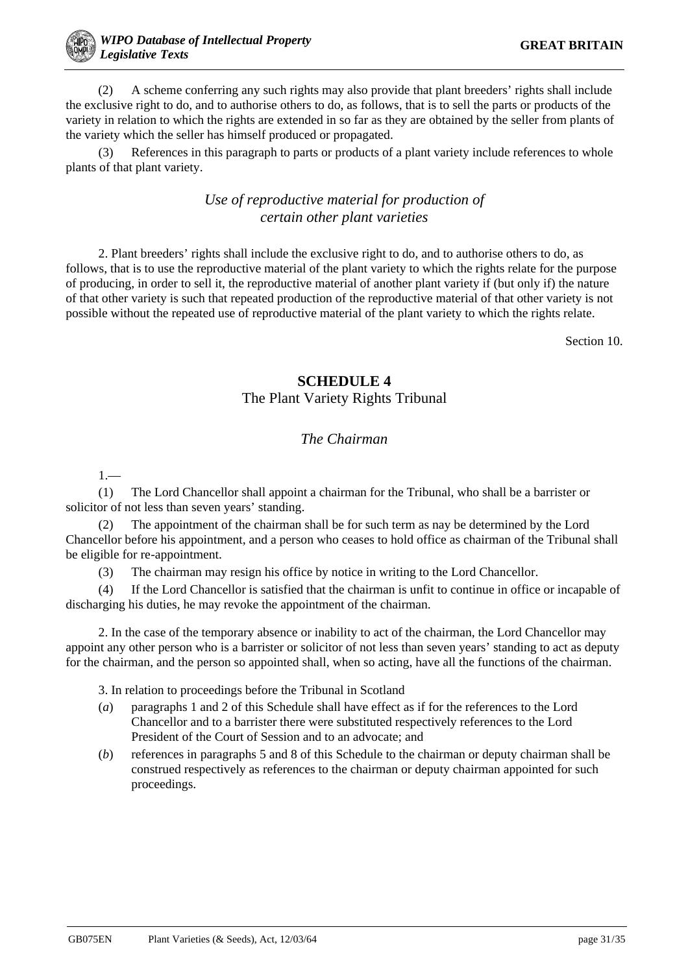(2) A scheme conferring any such rights may also provide that plant breeders' rights shall include the exclusive right to do, and to authorise others to do, as follows, that is to sell the parts or products of the variety in relation to which the rights are extended in so far as they are obtained by the seller from plants of the variety which the seller has himself produced or propagated.

(3) References in this paragraph to parts or products of a plant variety include references to whole plants of that plant variety.

### *Use of reproductive material for production of certain other plant varieties*

2. Plant breeders' rights shall include the exclusive right to do, and to authorise others to do, as follows, that is to use the reproductive material of the plant variety to which the rights relate for the purpose of producing, in order to sell it, the reproductive material of another plant variety if (but only if) the nature of that other variety is such that repeated production of the reproductive material of that other variety is not possible without the repeated use of reproductive material of the plant variety to which the rights relate.

Section 10.

#### **SCHEDULE 4**

#### The Plant Variety Rights Tribunal

### *The Chairman*

 $1 -$ 

(1) The Lord Chancellor shall appoint a chairman for the Tribunal, who shall be a barrister or solicitor of not less than seven years' standing.

(2) The appointment of the chairman shall be for such term as nay be determined by the Lord Chancellor before his appointment, and a person who ceases to hold office as chairman of the Tribunal shall be eligible for re-appointment.

(3) The chairman may resign his office by notice in writing to the Lord Chancellor.

(4) If the Lord Chancellor is satisfied that the chairman is unfit to continue in office or incapable of discharging his duties, he may revoke the appointment of the chairman.

2. In the case of the temporary absence or inability to act of the chairman, the Lord Chancellor may appoint any other person who is a barrister or solicitor of not less than seven years' standing to act as deputy for the chairman, and the person so appointed shall, when so acting, have all the functions of the chairman.

3. In relation to proceedings before the Tribunal in Scotland

- (*a*) paragraphs 1 and 2 of this Schedule shall have effect as if for the references to the Lord Chancellor and to a barrister there were substituted respectively references to the Lord President of the Court of Session and to an advocate; and
- (*b*) references in paragraphs 5 and 8 of this Schedule to the chairman or deputy chairman shall be construed respectively as references to the chairman or deputy chairman appointed for such proceedings.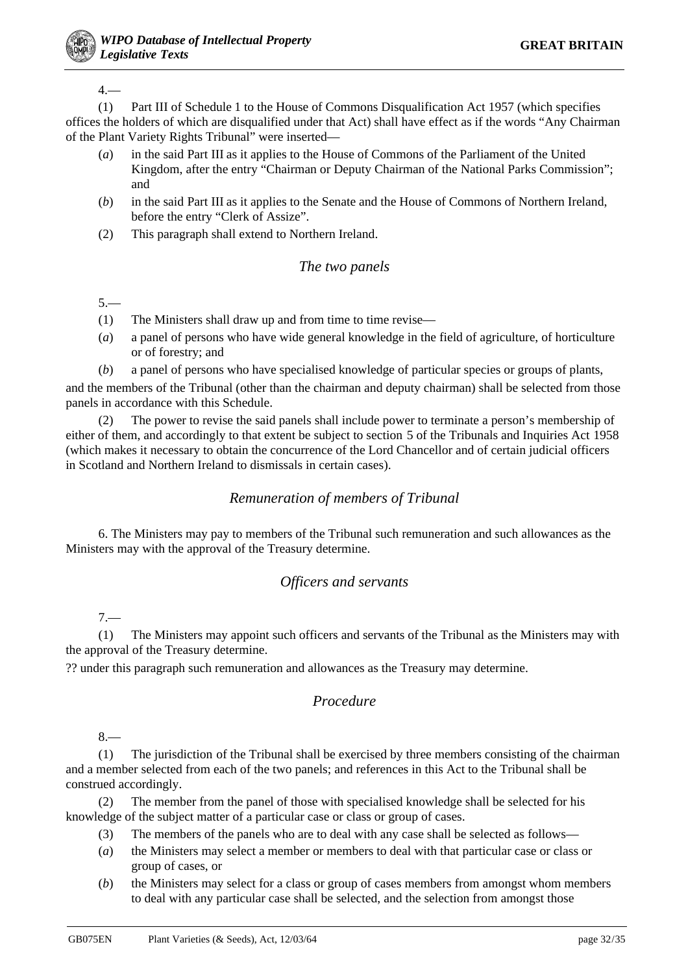$4 -$ 

(1) Part III of Schedule 1 to the House of Commons Disqualification Act 1957 (which specifies offices the holders of which are disqualified under that Act) shall have effect as if the words "Any Chairman of the Plant Variety Rights Tribunal" were inserted—

- (*a*) in the said Part III as it applies to the House of Commons of the Parliament of the United Kingdom, after the entry "Chairman or Deputy Chairman of the National Parks Commission"; and
- (*b*) in the said Part III as it applies to the Senate and the House of Commons of Northern Ireland, before the entry "Clerk of Assize".
- (2) This paragraph shall extend to Northern Ireland.

#### *The two panels*

 $5-$ 

- (1) The Ministers shall draw up and from time to time revise—
- (*a*) a panel of persons who have wide general knowledge in the field of agriculture, of horticulture or of forestry; and
- (*b*) a panel of persons who have specialised knowledge of particular species or groups of plants,

and the members of the Tribunal (other than the chairman and deputy chairman) shall be selected from those panels in accordance with this Schedule.

(2) The power to revise the said panels shall include power to terminate a person's membership of either of them, and accordingly to that extent be subject to section 5 of the Tribunals and Inquiries Act 1958 (which makes it necessary to obtain the concurrence of the Lord Chancellor and of certain judicial officers in Scotland and Northern Ireland to dismissals in certain cases).

#### *Remuneration of members of Tribunal*

6. The Ministers may pay to members of the Tribunal such remuneration and such allowances as the Ministers may with the approval of the Treasury determine.

#### *Officers and servants*

7.—

(1) The Ministers may appoint such officers and servants of the Tribunal as the Ministers may with the approval of the Treasury determine.

?? under this paragraph such remuneration and allowances as the Treasury may determine.

#### *Procedure*

8.—

(1) The jurisdiction of the Tribunal shall be exercised by three members consisting of the chairman and a member selected from each of the two panels; and references in this Act to the Tribunal shall be construed accordingly.

(2) The member from the panel of those with specialised knowledge shall be selected for his knowledge of the subject matter of a particular case or class or group of cases.

(3) The members of the panels who are to deal with any case shall be selected as follows—

- (*a*) the Ministers may select a member or members to deal with that particular case or class or group of cases, or
- (*b*) the Ministers may select for a class or group of cases members from amongst whom members to deal with any particular case shall be selected, and the selection from amongst those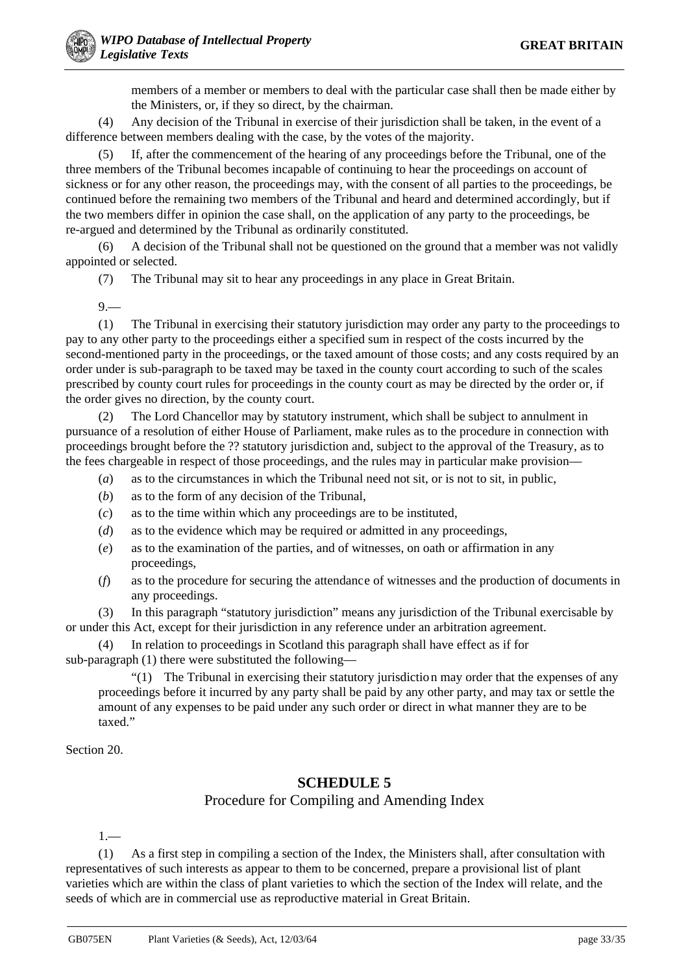members of a member or members to deal with the particular case shall then be made either by the Ministers, or, if they so direct, by the chairman.

(4) Any decision of the Tribunal in exercise of their jurisdiction shall be taken, in the event of a difference between members dealing with the case, by the votes of the majority.

(5) If, after the commencement of the hearing of any proceedings before the Tribunal, one of the three members of the Tribunal becomes incapable of continuing to hear the proceedings on account of sickness or for any other reason, the proceedings may, with the consent of all parties to the proceedings, be continued before the remaining two members of the Tribunal and heard and determined accordingly, but if the two members differ in opinion the case shall, on the application of any party to the proceedings, be re-argued and determined by the Tribunal as ordinarily constituted.

(6) A decision of the Tribunal shall not be questioned on the ground that a member was not validly appointed or selected.

(7) The Tribunal may sit to hear any proceedings in any place in Great Britain.

9.—

(1) The Tribunal in exercising their statutory jurisdiction may order any party to the proceedings to pay to any other party to the proceedings either a specified sum in respect of the costs incurred by the second-mentioned party in the proceedings, or the taxed amount of those costs; and any costs required by an order under is sub-paragraph to be taxed may be taxed in the county court according to such of the scales prescribed by county court rules for proceedings in the county court as may be directed by the order or, if the order gives no direction, by the county court.

(2) The Lord Chancellor may by statutory instrument, which shall be subject to annulment in pursuance of a resolution of either House of Parliament, make rules as to the procedure in connection with proceedings brought before the ?? statutory jurisdiction and, subject to the approval of the Treasury, as to the fees chargeable in respect of those proceedings, and the rules may in particular make provision—

(*a*) as to the circumstances in which the Tribunal need not sit, or is not to sit, in public,

- (*b*) as to the form of any decision of the Tribunal,
- (*c*) as to the time within which any proceedings are to be instituted,
- (*d*) as to the evidence which may be required or admitted in any proceedings,
- (*e*) as to the examination of the parties, and of witnesses, on oath or affirmation in any proceedings,
- (*f*) as to the procedure for securing the attendance of witnesses and the production of documents in any proceedings.

(3) In this paragraph "statutory jurisdiction" means any jurisdiction of the Tribunal exercisable by or under this Act, except for their jurisdiction in any reference under an arbitration agreement.

(4) In relation to proceedings in Scotland this paragraph shall have effect as if for sub-paragraph (1) there were substituted the following—

 $(1)$  The Tribunal in exercising their statutory jurisdiction may order that the expenses of any proceedings before it incurred by any party shall be paid by any other party, and may tax or settle the amount of any expenses to be paid under any such order or direct in what manner they are to be taxed."

Section 20.

#### **SCHEDULE 5**

#### Procedure for Compiling and Amending Index

1.—

(1) As a first step in compiling a section of the Index, the Ministers shall, after consultation with representatives of such interests as appear to them to be concerned, prepare a provisional list of plant varieties which are within the class of plant varieties to which the section of the Index will relate, and the seeds of which are in commercial use as reproductive material in Great Britain.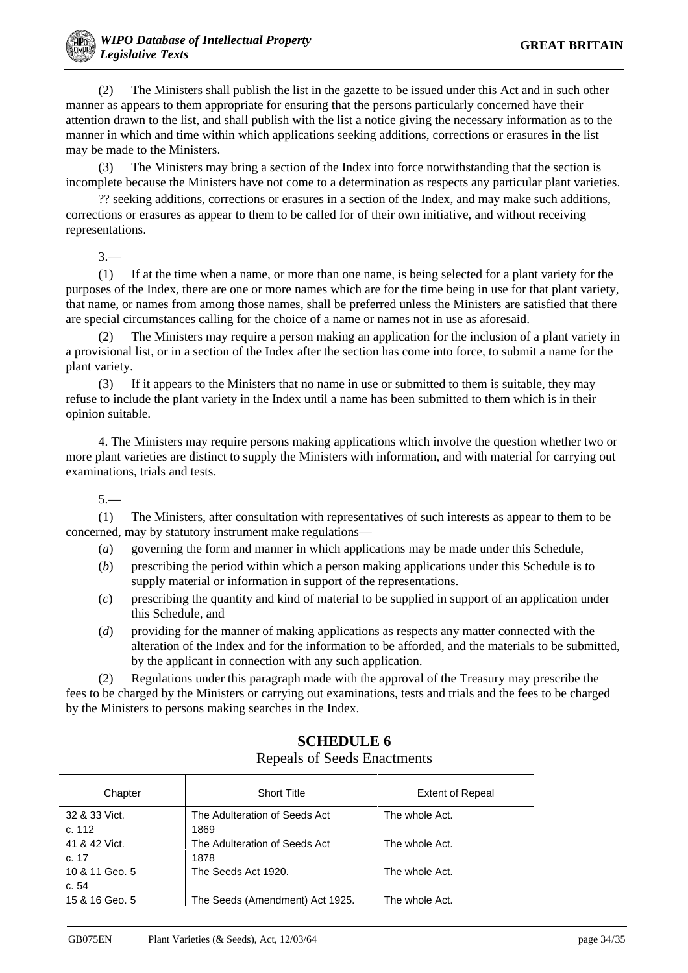(2) The Ministers shall publish the list in the gazette to be issued under this Act and in such other manner as appears to them appropriate for ensuring that the persons particularly concerned have their attention drawn to the list, and shall publish with the list a notice giving the necessary information as to the manner in which and time within which applications seeking additions, corrections or erasures in the list may be made to the Ministers.

(3) The Ministers may bring a section of the Index into force notwithstanding that the section is incomplete because the Ministers have not come to a determination as respects any particular plant varieties.

?? seeking additions, corrections or erasures in a section of the Index, and may make such additions, corrections or erasures as appear to them to be called for of their own initiative, and without receiving representations.

 $3 -$ 

(1) If at the time when a name, or more than one name, is being selected for a plant variety for the purposes of the Index, there are one or more names which are for the time being in use for that plant variety, that name, or names from among those names, shall be preferred unless the Ministers are satisfied that there are special circumstances calling for the choice of a name or names not in use as aforesaid.

(2) The Ministers may require a person making an application for the inclusion of a plant variety in a provisional list, or in a section of the Index after the section has come into force, to submit a name for the plant variety.

(3) If it appears to the Ministers that no name in use or submitted to them is suitable, they may refuse to include the plant variety in the Index until a name has been submitted to them which is in their opinion suitable.

4. The Ministers may require persons making applications which involve the question whether two or more plant varieties are distinct to supply the Ministers with information, and with material for carrying out examinations, trials and tests.

5.—

(1) The Ministers, after consultation with representatives of such interests as appear to them to be concerned, may by statutory instrument make regulations—

- (*a*) governing the form and manner in which applications may be made under this Schedule,
- (*b*) prescribing the period within which a person making applications under this Schedule is to supply material or information in support of the representations.
- (*c*) prescribing the quantity and kind of material to be supplied in support of an application under this Schedule, and
- (*d*) providing for the manner of making applications as respects any matter connected with the alteration of the Index and for the information to be afforded, and the materials to be submitted, by the applicant in connection with any such application.

(2) Regulations under this paragraph made with the approval of the Treasury may prescribe the fees to be charged by the Ministers or carrying out examinations, tests and trials and the fees to be charged by the Ministers to persons making searches in the Index.

| Chapter        | <b>Short Title</b>              | <b>Extent of Repeal</b> |
|----------------|---------------------------------|-------------------------|
| 32 & 33 Vict.  | The Adulteration of Seeds Act   | The whole Act.          |
| c. 112         | 1869                            |                         |
| 41 & 42 Vict.  | The Adulteration of Seeds Act   | The whole Act.          |
| c. 17          | 1878                            |                         |
| 10 & 11 Geo. 5 | The Seeds Act 1920.             | The whole Act.          |
| c.54           |                                 |                         |
| 15 & 16 Geo. 5 | The Seeds (Amendment) Act 1925. | The whole Act.          |

## **SCHEDULE 6**

#### Repeals of Seeds Enactments